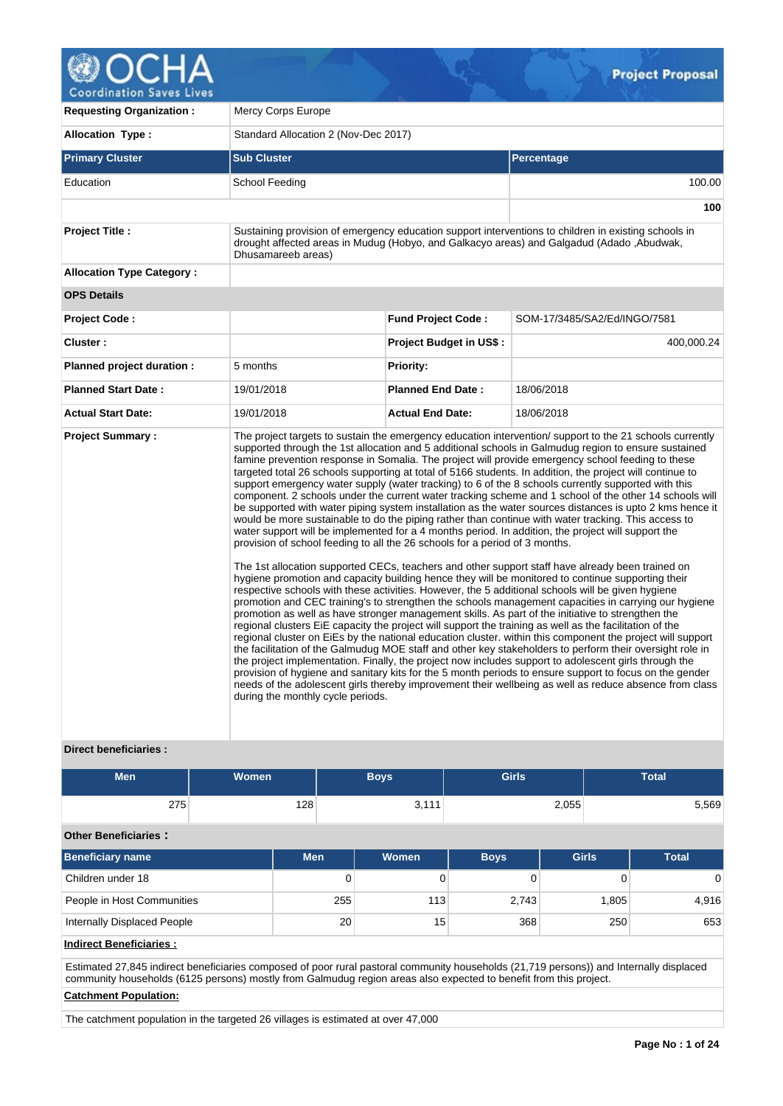

**Requesting Organization :** Mercy Corps Europe Allocation Type : <br>
Standard Allocation 2 (Nov-Dec 2017) **Primary Cluster Sub Cluster Sub Cluster** Sub Cluster Sub Cluster Sub Cluster Sub Cluster Sub Cluster Sub Cluster Education School Feeding 100.00 **100 Project Title :** Sustaining provision of emergency education support interventions to children in existing schools in drought affected areas in Mudug (Hobyo, and Galkacyo areas) and Galgadud (Adado ,Abudwak, Dhusamareeb areas) **Allocation Type Category : OPS Details Project Code : Fund Project Code :** SOM-17/3485/SA2/Ed/INGO/7581 **Cluster : Project Budget in US\$ :** 400,000.24 **Planned project duration :** 5 months **Planned Priority: Planned Start Date :** 19/01/2018 **Planned End Date :** 18/06/2018 **Actual Start Date:** 19/01/2018 **Actual End Date:** 18/06/2018 **Project Summary :** The project targets to sustain the emergency education intervention/ support to the 21 schools currently supported through the 1st allocation and 5 additional schools in Galmudug region to ensure sustained famine prevention response in Somalia. The project will provide emergency school feeding to these targeted total 26 schools supporting at total of 5166 students. In addition, the project will continue to support emergency water supply (water tracking) to 6 of the 8 schools currently supported with this component. 2 schools under the current water tracking scheme and 1 school of the other 14 schools will be supported with water piping system installation as the water sources distances is upto 2 kms hence it would be more sustainable to do the piping rather than continue with water tracking. This access to water support will be implemented for a 4 months period. In addition, the project will support the provision of school feeding to all the 26 schools for a period of 3 months. The 1st allocation supported CECs, teachers and other support staff have already been trained on hygiene promotion and capacity building hence they will be monitored to continue supporting their respective schools with these activities. However, the 5 additional schools will be given hygiene promotion and CEC training's to strengthen the schools management capacities in carrying our hygiene promotion as well as have stronger management skills. As part of the initiative to strengthen the regional clusters EiE capacity the project will support the training as well as the facilitation of the regional cluster on EiEs by the national education cluster. within this component the project will support the facilitation of the Galmudug MOE staff and other key stakeholders to perform their oversight role in the project implementation. Finally, the project now includes support to adolescent girls through the provision of hygiene and sanitary kits for the 5 month periods to ensure support to focus on the gender needs of the adolescent girls thereby improvement their wellbeing as well as reduce absence from class during the monthly cycle periods.

# **Direct beneficiaries :**

| <b>Men</b>                  | <b>Women</b> |            | <b>Boys</b>  | <b>Girls</b> |              | <b>Total</b>   |  |  |  |
|-----------------------------|--------------|------------|--------------|--------------|--------------|----------------|--|--|--|
| 275                         |              | 128        | 3,111        |              | 2,055        | 5,569          |  |  |  |
| <b>Other Beneficiaries:</b> |              |            |              |              |              |                |  |  |  |
| <b>Beneficiary name</b>     |              | <b>Men</b> | <b>Women</b> | <b>Boys</b>  | <b>Girls</b> | <b>Total</b>   |  |  |  |
| Children under 18           |              |            | 0            |              |              | $\overline{0}$ |  |  |  |
| People in Host Communities  |              |            | 255<br>113   | 2,743        | 1,805        | 4,916          |  |  |  |

Internally Displaced People 20 20 15 368 250 250 653

**Indirect Beneficiaries :**

Estimated 27,845 indirect beneficiaries composed of poor rural pastoral community households (21,719 persons)) and Internally displaced community households (6125 persons) mostly from Galmudug region areas also expected to benefit from this project.

# **Catchment Population:**

The catchment population in the targeted 26 villages is estimated at over 47,000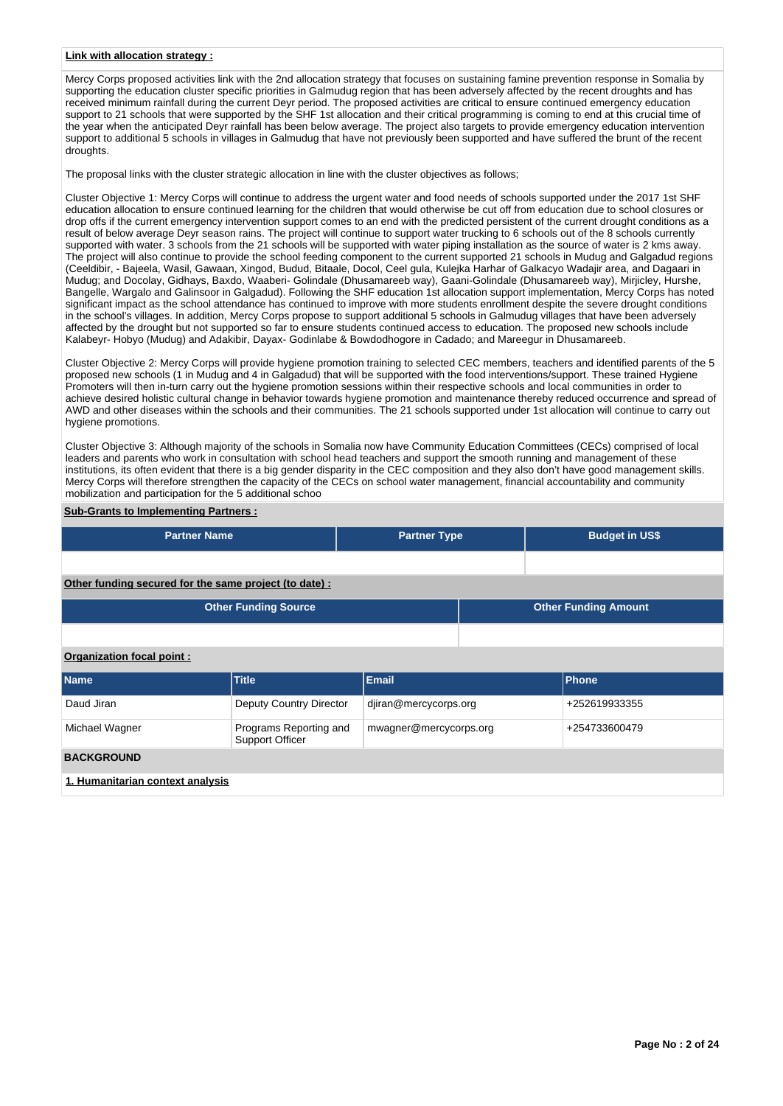#### **Link with allocation strategy :**

Mercy Corps proposed activities link with the 2nd allocation strategy that focuses on sustaining famine prevention response in Somalia by supporting the education cluster specific priorities in Galmudug region that has been adversely affected by the recent droughts and has received minimum rainfall during the current Deyr period. The proposed activities are critical to ensure continued emergency education support to 21 schools that were supported by the SHF 1st allocation and their critical programming is coming to end at this crucial time of the year when the anticipated Deyr rainfall has been below average. The project also targets to provide emergency education intervention support to additional 5 schools in villages in Galmudug that have not previously been supported and have suffered the brunt of the recent droughts.

The proposal links with the cluster strategic allocation in line with the cluster objectives as follows;

Cluster Objective 1: Mercy Corps will continue to address the urgent water and food needs of schools supported under the 2017 1st SHF education allocation to ensure continued learning for the children that would otherwise be cut off from education due to school closures or drop offs if the current emergency intervention support comes to an end with the predicted persistent of the current drought conditions as a result of below average Deyr season rains. The project will continue to support water trucking to 6 schools out of the 8 schools currently supported with water. 3 schools from the 21 schools will be supported with water piping installation as the source of water is 2 kms away. The project will also continue to provide the school feeding component to the current supported 21 schools in Mudug and Galgadud regions (Ceeldibir, - Bajeela, Wasil, Gawaan, Xingod, Budud, Bitaale, Docol, Ceel gula, Kulejka Harhar of Galkacyo Wadajir area, and Dagaari in Mudug; and Docolay, Gidhays, Baxdo, Waaberi- Golindale (Dhusamareeb way), Gaani-Golindale (Dhusamareeb way), Mirjicley, Hurshe, Bangelle, Wargalo and Galinsoor in Galgadud). Following the SHF education 1st allocation support implementation, Mercy Corps has noted significant impact as the school attendance has continued to improve with more students enrollment despite the severe drought conditions in the school's villages. In addition, Mercy Corps propose to support additional 5 schools in Galmudug villages that have been adversely affected by the drought but not supported so far to ensure students continued access to education. The proposed new schools include Kalabeyr- Hobyo (Mudug) and Adakibir, Dayax- Godinlabe & Bowdodhogore in Cadado; and Mareegur in Dhusamareeb.

Cluster Objective 2: Mercy Corps will provide hygiene promotion training to selected CEC members, teachers and identified parents of the 5 proposed new schools (1 in Mudug and 4 in Galgadud) that will be supported with the food interventions/support. These trained Hygiene Promoters will then in-turn carry out the hygiene promotion sessions within their respective schools and local communities in order to achieve desired holistic cultural change in behavior towards hygiene promotion and maintenance thereby reduced occurrence and spread of AWD and other diseases within the schools and their communities. The 21 schools supported under 1st allocation will continue to carry out hygiene promotions.

Cluster Objective 3: Although majority of the schools in Somalia now have Community Education Committees (CECs) comprised of local leaders and parents who work in consultation with school head teachers and support the smooth running and management of these institutions, its often evident that there is a big gender disparity in the CEC composition and they also don't have good management skills. Mercy Corps will therefore strengthen the capacity of the CECs on school water management, financial accountability and community mobilization and participation for the 5 additional schoo

# **Sub-Grants to Implementing Partners :**

| <b>Partner Name</b>                                    | <b>Partner Type</b> |  | <b>Budget in US\$</b>       |
|--------------------------------------------------------|---------------------|--|-----------------------------|
|                                                        |                     |  |                             |
| Other funding secured for the same project (to date) : |                     |  |                             |
| <b>Other Funding Source</b>                            |                     |  | <b>Other Funding Amount</b> |
|                                                        |                     |  |                             |

# **Organization focal point :**

| Name                             | <b>Title</b>                                     | <b>Email</b>           | <b>Phone</b>  |
|----------------------------------|--------------------------------------------------|------------------------|---------------|
|                                  |                                                  |                        |               |
| Daud Jiran                       | Deputy Country Director                          | djiran@mercycorps.org  | +252619933355 |
| Michael Wagner                   | Programs Reporting and<br><b>Support Officer</b> | mwagner@mercycorps.org | +254733600479 |
| <b>BACKGROUND</b>                |                                                  |                        |               |
| 1. Humanitarian context analysis |                                                  |                        |               |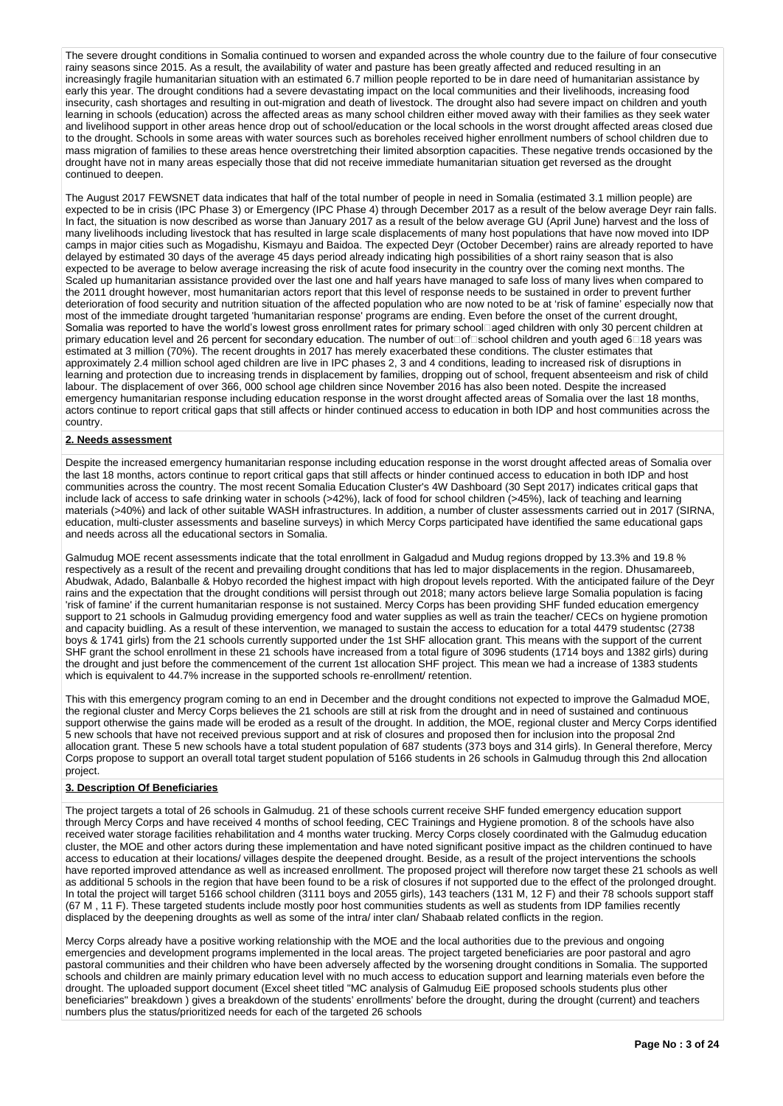The severe drought conditions in Somalia continued to worsen and expanded across the whole country due to the failure of four consecutive rainy seasons since 2015. As a result, the availability of water and pasture has been greatly affected and reduced resulting in an increasingly fragile humanitarian situation with an estimated 6.7 million people reported to be in dare need of humanitarian assistance by early this year. The drought conditions had a severe devastating impact on the local communities and their livelihoods, increasing food insecurity, cash shortages and resulting in out-migration and death of livestock. The drought also had severe impact on children and youth learning in schools (education) across the affected areas as many school children either moved away with their families as they seek water and livelihood support in other areas hence drop out of school/education or the local schools in the worst drought affected areas closed due to the drought. Schools in some areas with water sources such as boreholes received higher enrollment numbers of school children due to mass migration of families to these areas hence overstretching their limited absorption capacities. These negative trends occasioned by the drought have not in many areas especially those that did not receive immediate humanitarian situation get reversed as the drought continued to deepen.

The August 2017 FEWSNET data indicates that half of the total number of people in need in Somalia (estimated 3.1 million people) are expected to be in crisis (IPC Phase 3) or Emergency (IPC Phase 4) through December 2017 as a result of the below average Deyr rain falls. In fact, the situation is now described as worse than January 2017 as a result of the below average GU (April June) harvest and the loss of many livelihoods including livestock that has resulted in large scale displacements of many host populations that have now moved into IDP camps in major cities such as Mogadishu, Kismayu and Baidoa. The expected Deyr (October December) rains are already reported to have delayed by estimated 30 days of the average 45 days period already indicating high possibilities of a short rainy season that is also expected to be average to below average increasing the risk of acute food insecurity in the country over the coming next months. The Scaled up humanitarian assistance provided over the last one and half years have managed to safe loss of many lives when compared to the 2011 drought however, most humanitarian actors report that this level of response needs to be sustained in order to prevent further deterioration of food security and nutrition situation of the affected population who are now noted to be at 'risk of famine' especially now that most of the immediate drought targeted 'humanitarian response' programs are ending. Even before the onset of the current drought, Somalia was reported to have the world's lowest gross enrollment rates for primary schoolaged children with only 30 percent children at primary education level and 26 percent for secondary education. The number of out<br>  $\Box$ of $\Box$ school children and youth aged 6 $\Box$ 18 years was estimated at 3 million (70%). The recent droughts in 2017 has merely exacerbated these conditions. The cluster estimates that approximately 2.4 million school aged children are live in IPC phases 2, 3 and 4 conditions, leading to increased risk of disruptions in learning and protection due to increasing trends in displacement by families, dropping out of school, frequent absenteeism and risk of child labour. The displacement of over 366, 000 school age children since November 2016 has also been noted. Despite the increased emergency humanitarian response including education response in the worst drought affected areas of Somalia over the last 18 months, actors continue to report critical gaps that still affects or hinder continued access to education in both IDP and host communities across the country.

#### **2. Needs assessment**

Despite the increased emergency humanitarian response including education response in the worst drought affected areas of Somalia over the last 18 months, actors continue to report critical gaps that still affects or hinder continued access to education in both IDP and host communities across the country. The most recent Somalia Education Cluster's 4W Dashboard (30 Sept 2017) indicates critical gaps that include lack of access to safe drinking water in schools (>42%), lack of food for school children (>45%), lack of teaching and learning materials (>40%) and lack of other suitable WASH infrastructures. In addition, a number of cluster assessments carried out in 2017 (SIRNA, education, multi-cluster assessments and baseline surveys) in which Mercy Corps participated have identified the same educational gaps and needs across all the educational sectors in Somalia.

Galmudug MOE recent assessments indicate that the total enrollment in Galgadud and Mudug regions dropped by 13.3% and 19.8 % respectively as a result of the recent and prevailing drought conditions that has led to major displacements in the region. Dhusamareeb, Abudwak, Adado, Balanballe & Hobyo recorded the highest impact with high dropout levels reported. With the anticipated failure of the Deyr rains and the expectation that the drought conditions will persist through out 2018; many actors believe large Somalia population is facing 'risk of famine' if the current humanitarian response is not sustained. Mercy Corps has been providing SHF funded education emergency support to 21 schools in Galmudug providing emergency food and water supplies as well as train the teacher/ CECs on hygiene promotion and capacity buidling. As a result of these intervention, we managed to sustain the access to education for a total 4479 studentsc (2738 boys & 1741 girls) from the 21 schools currently supported under the 1st SHF allocation grant. This means with the support of the current SHF grant the school enrollment in these 21 schools have increased from a total figure of 3096 students (1714 boys and 1382 girls) during the drought and just before the commencement of the current 1st allocation SHF project. This mean we had a increase of 1383 students which is equivalent to 44.7% increase in the supported schools re-enrollment/ retention.

This with this emergency program coming to an end in December and the drought conditions not expected to improve the Galmadud MOE, the regional cluster and Mercy Corps believes the 21 schools are still at risk from the drought and in need of sustained and continuous support otherwise the gains made will be eroded as a result of the drought. In addition, the MOE, regional cluster and Mercy Corps identified 5 new schools that have not received previous support and at risk of closures and proposed then for inclusion into the proposal 2nd allocation grant. These 5 new schools have a total student population of 687 students (373 boys and 314 girls). In General therefore, Mercy Corps propose to support an overall total target student population of 5166 students in 26 schools in Galmudug through this 2nd allocation project.

#### **3. Description Of Beneficiaries**

The project targets a total of 26 schools in Galmudug. 21 of these schools current receive SHF funded emergency education support through Mercy Corps and have received 4 months of school feeding, CEC Trainings and Hygiene promotion. 8 of the schools have also received water storage facilities rehabilitation and 4 months water trucking. Mercy Corps closely coordinated with the Galmudug education cluster, the MOE and other actors during these implementation and have noted significant positive impact as the children continued to have access to education at their locations/ villages despite the deepened drought. Beside, as a result of the project interventions the schools have reported improved attendance as well as increased enrollment. The proposed project will therefore now target these 21 schools as well as additional 5 schools in the region that have been found to be a risk of closures if not supported due to the effect of the prolonged drought. In total the project will target 5166 school children (3111 boys and 2055 girls), 143 teachers (131 M, 12 F) and their 78 schools support staff (67 M , 11 F). These targeted students include mostly poor host communities students as well as students from IDP families recently displaced by the deepening droughts as well as some of the intra/ inter clan/ Shabaab related conflicts in the region.

Mercy Corps already have a positive working relationship with the MOE and the local authorities due to the previous and ongoing emergencies and development programs implemented in the local areas. The project targeted beneficiaries are poor pastoral and agro pastoral communities and their children who have been adversely affected by the worsening drought conditions in Somalia. The supported schools and children are mainly primary education level with no much access to education support and learning materials even before the drought. The uploaded support document (Excel sheet titled "MC analysis of Galmudug EiE proposed schools students plus other beneficiaries" breakdown ) gives a breakdown of the students' enrollments' before the drought, during the drought (current) and teachers numbers plus the status/prioritized needs for each of the targeted 26 schools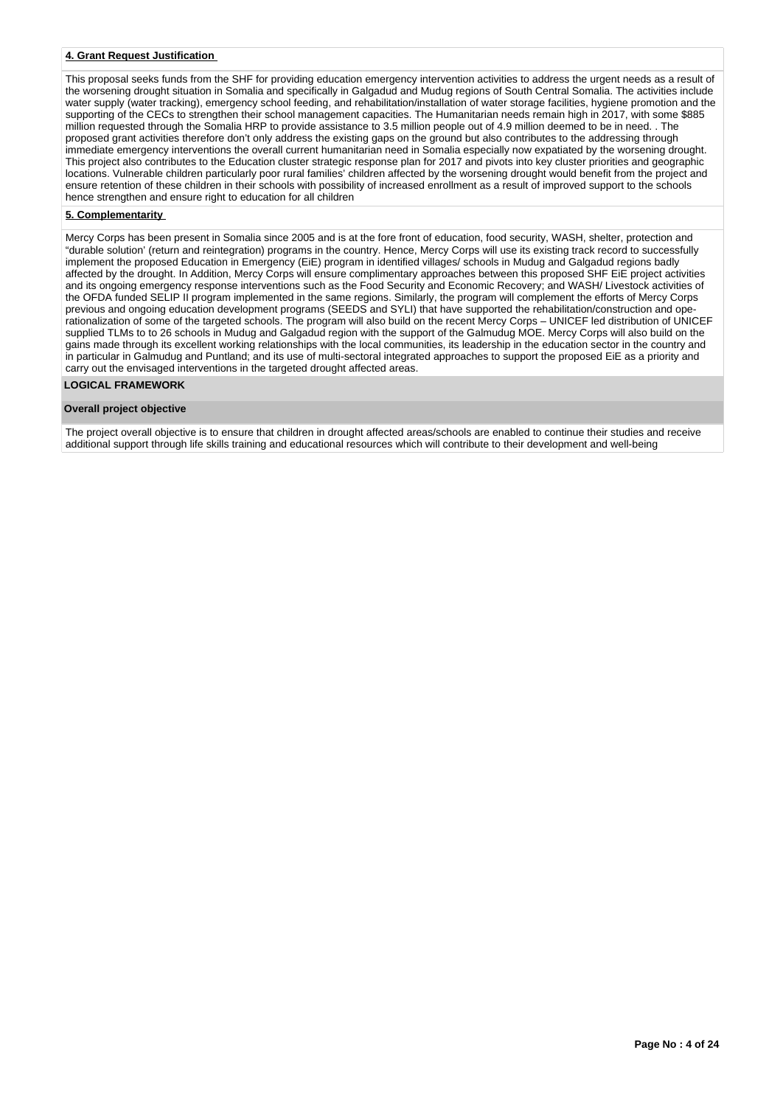### **4. Grant Request Justification**

This proposal seeks funds from the SHF for providing education emergency intervention activities to address the urgent needs as a result of the worsening drought situation in Somalia and specifically in Galgadud and Mudug regions of South Central Somalia. The activities include water supply (water tracking), emergency school feeding, and rehabilitation/installation of water storage facilities, hygiene promotion and the supporting of the CECs to strengthen their school management capacities. The Humanitarian needs remain high in 2017, with some \$885 million requested through the Somalia HRP to provide assistance to 3.5 million people out of 4.9 million deemed to be in need. . The proposed grant activities therefore don't only address the existing gaps on the ground but also contributes to the addressing through immediate emergency interventions the overall current humanitarian need in Somalia especially now expatiated by the worsening drought. This project also contributes to the Education cluster strategic response plan for 2017 and pivots into key cluster priorities and geographic locations. Vulnerable children particularly poor rural families' children affected by the worsening drought would benefit from the project and ensure retention of these children in their schools with possibility of increased enrollment as a result of improved support to the schools hence strengthen and ensure right to education for all children

# **5. Complementarity**

Mercy Corps has been present in Somalia since 2005 and is at the fore front of education, food security, WASH, shelter, protection and "durable solution' (return and reintegration) programs in the country. Hence, Mercy Corps will use its existing track record to successfully implement the proposed Education in Emergency (EiE) program in identified villages/ schools in Mudug and Galgadud regions badly affected by the drought. In Addition, Mercy Corps will ensure complimentary approaches between this proposed SHF EiE project activities and its ongoing emergency response interventions such as the Food Security and Economic Recovery; and WASH/ Livestock activities of the OFDA funded SELIP II program implemented in the same regions. Similarly, the program will complement the efforts of Mercy Corps previous and ongoing education development programs (SEEDS and SYLI) that have supported the rehabilitation/construction and operationalization of some of the targeted schools. The program will also build on the recent Mercy Corps – UNICEF led distribution of UNICEF supplied TLMs to to 26 schools in Mudug and Galgadud region with the support of the Galmudug MOE. Mercy Corps will also build on the gains made through its excellent working relationships with the local communities, its leadership in the education sector in the country and in particular in Galmudug and Puntland; and its use of multi-sectoral integrated approaches to support the proposed EiE as a priority and carry out the envisaged interventions in the targeted drought affected areas.

#### **LOGICAL FRAMEWORK**

#### **Overall project objective**

The project overall objective is to ensure that children in drought affected areas/schools are enabled to continue their studies and receive additional support through life skills training and educational resources which will contribute to their development and well-being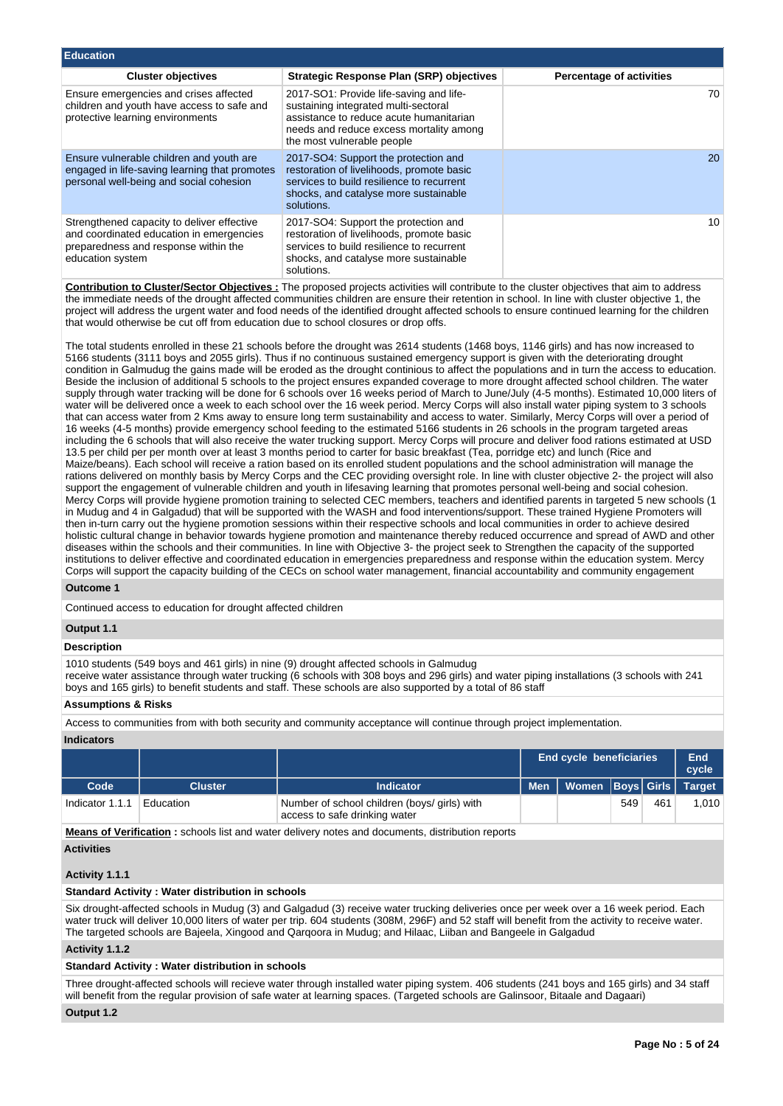| <b>Education</b>                                                                                                                                   |                                                                                                                                                                                                     |                                 |
|----------------------------------------------------------------------------------------------------------------------------------------------------|-----------------------------------------------------------------------------------------------------------------------------------------------------------------------------------------------------|---------------------------------|
| <b>Cluster objectives</b>                                                                                                                          | Strategic Response Plan (SRP) objectives                                                                                                                                                            | <b>Percentage of activities</b> |
| Ensure emergencies and crises affected<br>children and youth have access to safe and<br>protective learning environments                           | 2017-SO1: Provide life-saving and life-<br>sustaining integrated multi-sectoral<br>assistance to reduce acute humanitarian<br>needs and reduce excess mortality among<br>the most vulnerable people | 70                              |
| Ensure vulnerable children and youth are<br>engaged in life-saving learning that promotes<br>personal well-being and social cohesion               | 2017-SO4: Support the protection and<br>restoration of livelihoods, promote basic<br>services to build resilience to recurrent<br>shocks, and catalyse more sustainable<br>solutions.               | 20                              |
| Strengthened capacity to deliver effective<br>and coordinated education in emergencies<br>preparedness and response within the<br>education system | 2017-SO4: Support the protection and<br>restoration of livelihoods, promote basic<br>services to build resilience to recurrent<br>shocks, and catalyse more sustainable<br>solutions.               | 10                              |

**Contribution to Cluster/Sector Objectives :** The proposed projects activities will contribute to the cluster objectives that aim to address the immediate needs of the drought affected communities children are ensure their retention in school. In line with cluster objective 1, the project will address the urgent water and food needs of the identified drought affected schools to ensure continued learning for the children that would otherwise be cut off from education due to school closures or drop offs.

The total students enrolled in these 21 schools before the drought was 2614 students (1468 boys, 1146 girls) and has now increased to 5166 students (3111 boys and 2055 girls). Thus if no continuous sustained emergency support is given with the deteriorating drought condition in Galmudug the gains made will be eroded as the drought continious to affect the populations and in turn the access to education. Beside the inclusion of additional 5 schools to the project ensures expanded coverage to more drought affected school children. The water supply through water tracking will be done for 6 schools over 16 weeks period of March to June/July (4-5 months). Estimated 10,000 liters of water will be delivered once a week to each school over the 16 week period. Mercy Corps will also install water piping system to 3 schools that can access water from 2 Kms away to ensure long term sustainability and access to water. Similarly, Mercy Corps will over a period of 16 weeks (4-5 months) provide emergency school feeding to the estimated 5166 students in 26 schools in the program targeted areas including the 6 schools that will also receive the water trucking support. Mercy Corps will procure and deliver food rations estimated at USD 13.5 per child per per month over at least 3 months period to carter for basic breakfast (Tea, porridge etc) and lunch (Rice and Maize/beans). Each school will receive a ration based on its enrolled student populations and the school administration will manage the rations delivered on monthly basis by Mercy Corps and the CEC providing oversight role. In line with cluster objective 2- the project will also support the engagement of vulnerable children and youth in lifesaving learning that promotes personal well-being and social cohesion. Mercy Corps will provide hygiene promotion training to selected CEC members, teachers and identified parents in targeted 5 new schools (1 in Mudug and 4 in Galgadud) that will be supported with the WASH and food interventions/support. These trained Hygiene Promoters will then in-turn carry out the hygiene promotion sessions within their respective schools and local communities in order to achieve desired holistic cultural change in behavior towards hygiene promotion and maintenance thereby reduced occurrence and spread of AWD and other diseases within the schools and their communities. In line with Objective 3- the project seek to Strengthen the capacity of the supported institutions to deliver effective and coordinated education in emergencies preparedness and response within the education system. Mercy Corps will support the capacity building of the CECs on school water management, financial accountability and community engagement

#### **Outcome 1**

Continued access to education for drought affected children

#### **Output 1.1**

#### **Description**

1010 students (549 boys and 461 girls) in nine (9) drought affected schools in Galmudug

receive water assistance through water trucking (6 schools with 308 boys and 296 girls) and water piping installations (3 schools with 241 boys and 165 girls) to benefit students and staff. These schools are also supported by a total of 86 staff

#### **Assumptions & Risks**

Access to communities from with both security and community acceptance will continue through project implementation.

# **Indicators**

|                 |                |                                                                               |            | <b>End cycle beneficiaries</b> |     |     |       |
|-----------------|----------------|-------------------------------------------------------------------------------|------------|--------------------------------|-----|-----|-------|
| Code            | <b>Cluster</b> | <b>Indicator</b>                                                              | <b>Men</b> | Women Boys Girls Target        |     |     |       |
| Indicator 1.1.1 | Education      | Number of school children (boys/ girls) with<br>access to safe drinking water |            |                                | 549 | 461 | 1.010 |

**Means of Verification :** schools list and water delivery notes and documents, distribution reports

# **Activities**

# **Activity 1.1.1**

# **Standard Activity : Water distribution in schools**

Six drought-affected schools in Mudug (3) and Galgadud (3) receive water trucking deliveries once per week over a 16 week period. Each water truck will deliver 10,000 liters of water per trip. 604 students (308M, 296F) and 52 staff will benefit from the activity to receive water. The targeted schools are Bajeela, Xingood and Qarqoora in Mudug; and Hilaac, Liiban and Bangeele in Galgadud

# **Activity 1.1.2**

**Standard Activity : Water distribution in schools**

Three drought-affected schools will recieve water through installed water piping system. 406 students (241 boys and 165 girls) and 34 staff will benefit from the regular provision of safe water at learning spaces. (Targeted schools are Galinsoor, Bitaale and Dagaari)

**Output 1.2**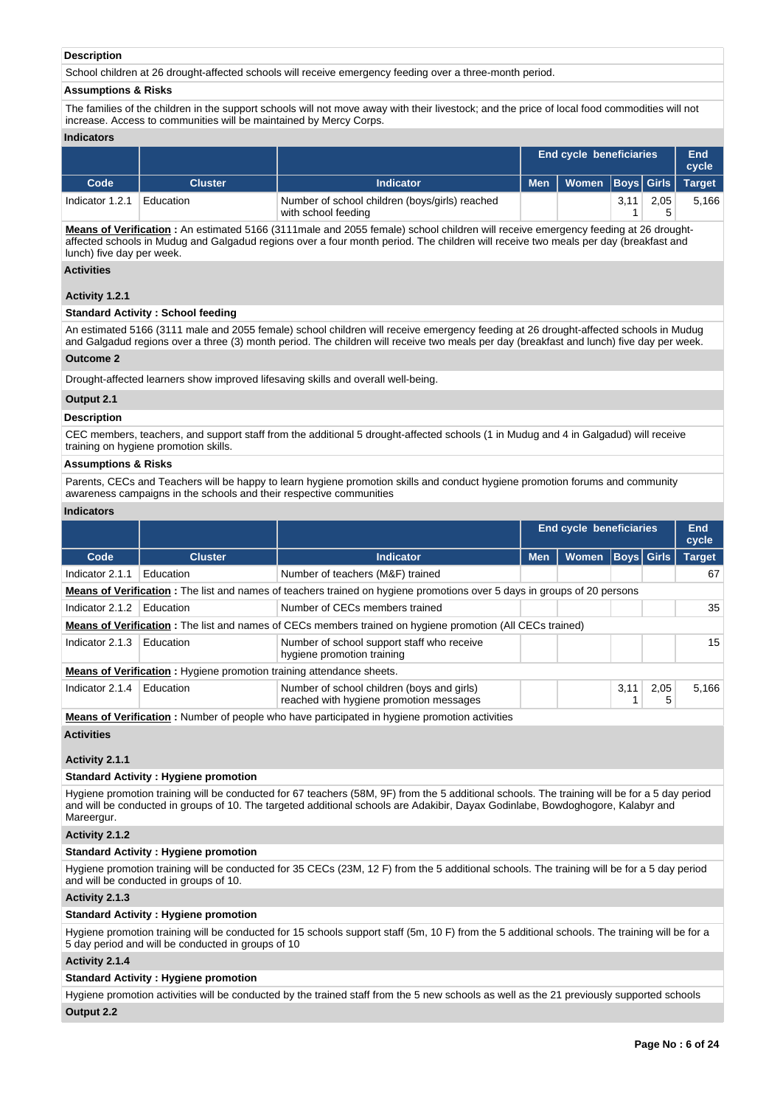# **Description**

School children at 26 drought-affected schools will receive emergency feeding over a three-month period.

#### **Assumptions & Risks**

The families of the children in the support schools will not move away with their livestock; and the price of local food commodities will not increase. Access to communities will be maintained by Mercy Corps.

#### **Indicators**

|                 |                |                                                                       |       | <b>End cycle beneficiaries</b> |      |      |       |  |
|-----------------|----------------|-----------------------------------------------------------------------|-------|--------------------------------|------|------|-------|--|
| Code            | <b>Cluster</b> | <b>Indicator</b>                                                      | Men l | Women Boys Girls Target        |      |      |       |  |
| Indicator 1.2.1 | Education      | Number of school children (boys/girls) reached<br>with school feeding |       |                                | 3.11 | 2.05 | 5,166 |  |

**Means of Verification :** An estimated 5166 (3111male and 2055 female) school children will receive emergency feeding at 26 droughtaffected schools in Mudug and Galgadud regions over a four month period. The children will receive two meals per day (breakfast and lunch) five day per week.

#### **Activities**

## **Activity 1.2.1**

#### **Standard Activity : School feeding**

An estimated 5166 (3111 male and 2055 female) school children will receive emergency feeding at 26 drought-affected schools in Mudug and Galgadud regions over a three (3) month period. The children will receive two meals per day (breakfast and lunch) five day per week.

#### **Outcome 2**

Drought-affected learners show improved lifesaving skills and overall well-being.

#### **Output 2.1**

#### **Description**

CEC members, teachers, and support staff from the additional 5 drought-affected schools (1 in Mudug and 4 in Galgadud) will receive training on hygiene promotion skills.

#### **Assumptions & Risks**

Parents, CECs and Teachers will be happy to learn hygiene promotion skills and conduct hygiene promotion forums and community awareness campaigns in the schools and their respective communities

#### **Indicators**

|                                                                                                                         |                                                                             |                                                                                                                   | <b>End cycle beneficiaries</b> |              | End<br>cycle |                   |               |  |  |  |
|-------------------------------------------------------------------------------------------------------------------------|-----------------------------------------------------------------------------|-------------------------------------------------------------------------------------------------------------------|--------------------------------|--------------|--------------|-------------------|---------------|--|--|--|
| Code                                                                                                                    | <b>Cluster</b>                                                              | <b>Indicator</b>                                                                                                  | <b>Men</b>                     | <b>Women</b> |              | <b>Boys Girls</b> | <b>Target</b> |  |  |  |
| Indicator 2.1.1                                                                                                         | Education                                                                   | Number of teachers (M&F) trained                                                                                  |                                |              |              |                   | 67            |  |  |  |
| Means of Verification: The list and names of teachers trained on hygiene promotions over 5 days in groups of 20 persons |                                                                             |                                                                                                                   |                                |              |              |                   |               |  |  |  |
| Indicator 2.1.2                                                                                                         | Education                                                                   | Number of CECs members trained                                                                                    |                                |              |              |                   | 35            |  |  |  |
|                                                                                                                         |                                                                             | <b>Means of Verification</b> : The list and names of CECs members trained on hygiene promotion (All CECs trained) |                                |              |              |                   |               |  |  |  |
| Indicator 2.1.3                                                                                                         | Education                                                                   | Number of school support staff who receive<br>hygiene promotion training                                          |                                |              |              |                   | 15            |  |  |  |
|                                                                                                                         | <b>Means of Verification:</b> Hygiene promotion training attendance sheets. |                                                                                                                   |                                |              |              |                   |               |  |  |  |
| Indicator 2.1.4                                                                                                         | Education                                                                   | Number of school children (boys and girls)<br>reached with hygiene promotion messages                             |                                |              | 3,11         | 2,05<br>5         | 5.166         |  |  |  |

**Means of Verification :** Number of people who have participated in hygiene promotion activities

#### **Activities**

# **Activity 2.1.1**

# **Standard Activity : Hygiene promotion**

Hygiene promotion training will be conducted for 67 teachers (58M, 9F) from the 5 additional schools. The training will be for a 5 day period and will be conducted in groups of 10. The targeted additional schools are Adakibir, Dayax Godinlabe, Bowdoghogore, Kalabyr and Mareergur.

#### **Activity 2.1.2**

# **Standard Activity : Hygiene promotion**

Hygiene promotion training will be conducted for 35 CECs (23M, 12 F) from the 5 additional schools. The training will be for a 5 day period and will be conducted in groups of 10.

### **Activity 2.1.3**

#### **Standard Activity : Hygiene promotion**

Hygiene promotion training will be conducted for 15 schools support staff (5m, 10 F) from the 5 additional schools. The training will be for a 5 day period and will be conducted in groups of 10

# **Activity 2.1.4**

### **Standard Activity : Hygiene promotion**

Hygiene promotion activities will be conducted by the trained staff from the 5 new schools as well as the 21 previously supported schools **Output 2.2**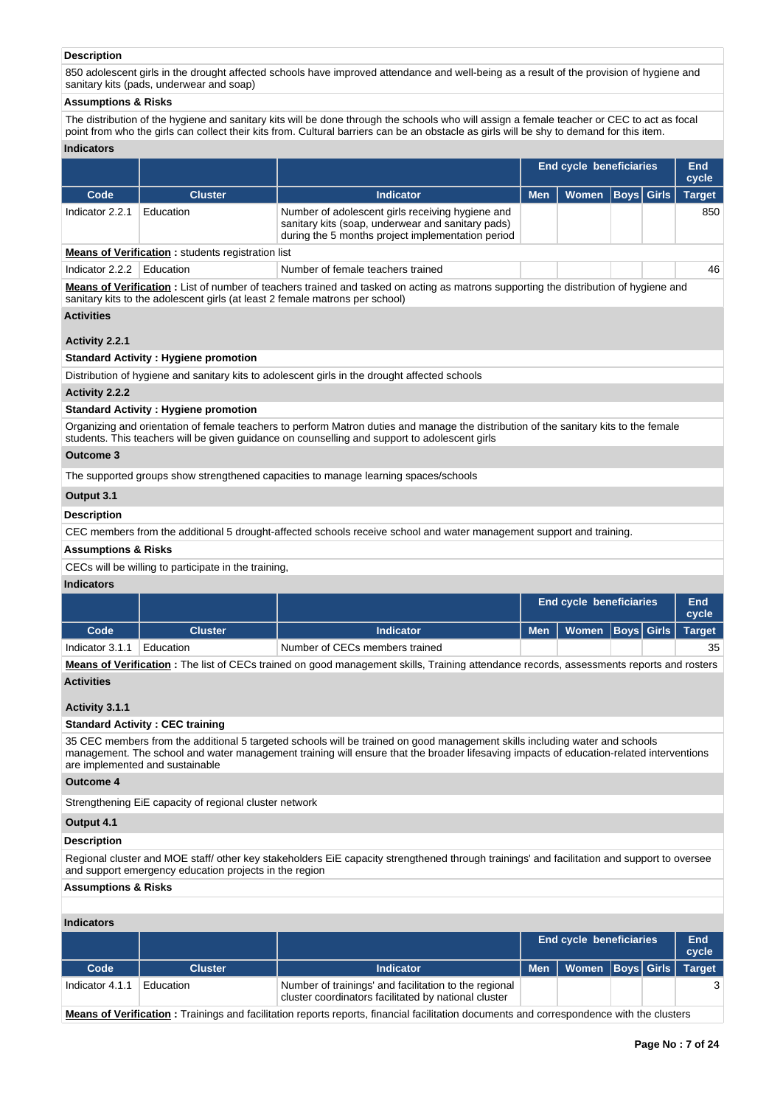# **Description**

850 adolescent girls in the drought affected schools have improved attendance and well-being as a result of the provision of hygiene and sanitary kits (pads, underwear and soap)

# **Assumptions & Risks**

The distribution of the hygiene and sanitary kits will be done through the schools who will assign a female teacher or CEC to act as focal point from who the girls can collect their kits from. Cultural barriers can be an obstacle as girls will be shy to demand for this item.

# **Indicators**

|                                                                    |                |                                                                                                                                                            |            | <b>End cycle beneficiaries</b> |  |  |               |  |  |
|--------------------------------------------------------------------|----------------|------------------------------------------------------------------------------------------------------------------------------------------------------------|------------|--------------------------------|--|--|---------------|--|--|
| Code                                                               | <b>Cluster</b> | <b>Indicator</b>                                                                                                                                           | <b>Men</b> | Women   Boys   Girls           |  |  | <b>Target</b> |  |  |
| Indicator 2.2.1                                                    | Education      | Number of adolescent girls receiving hygiene and<br>sanitary kits (soap, underwear and sanitary pads)<br>during the 5 months project implementation period |            |                                |  |  | 850           |  |  |
| . March 2014, Marketta and a construction of the construction than |                |                                                                                                                                                            |            |                                |  |  |               |  |  |

**Means of Verification :** students registration list

Indicator 2.2.2 Education Number of female teachers trained American Control of the 46

**Means of Verification :** List of number of teachers trained and tasked on acting as matrons supporting the distribution of hygiene and sanitary kits to the adolescent girls (at least 2 female matrons per school)

#### **Activities**

# **Activity 2.2.1**

# **Standard Activity : Hygiene promotion**

Distribution of hygiene and sanitary kits to adolescent girls in the drought affected schools

#### **Activity 2.2.2**

# **Standard Activity : Hygiene promotion**

Organizing and orientation of female teachers to perform Matron duties and manage the distribution of the sanitary kits to the female students. This teachers will be given guidance on counselling and support to adolescent girls

## **Outcome 3**

The supported groups show strengthened capacities to manage learning spaces/schools

## **Output 3.1**

### **Description**

CEC members from the additional 5 drought-affected schools receive school and water management support and training.

#### **Assumptions & Risks**

#### CECs will be willing to participate in the training,

#### **Indicators**

|                 |           |                                |  |                                     |  | <b>End cycle beneficiaries</b> |    |  |  |  |
|-----------------|-----------|--------------------------------|--|-------------------------------------|--|--------------------------------|----|--|--|--|
| Code            | Cluster   | Indicator                      |  | Men   Women   Boys   Girls   Target |  |                                |    |  |  |  |
| Indicator 3.1.1 | Education | Number of CECs members trained |  |                                     |  |                                | 35 |  |  |  |

**Means of Verification :** The list of CECs trained on good management skills, Training attendance records, assessments reports and rosters **Activities**

#### **Activity 3.1.1**

#### **Standard Activity : CEC training**

35 CEC members from the additional 5 targeted schools will be trained on good management skills including water and schools management. The school and water management training will ensure that the broader lifesaving impacts of education-related interventions are implemented and sustainable

# **Outcome 4**

Strengthening EiE capacity of regional cluster network

# **Output 4.1**

# **Description**

Regional cluster and MOE staff/ other key stakeholders EiE capacity strengthened through trainings' and facilitation and support to oversee and support emergency education projects in the region

# **Assumptions & Risks**

# **Indicators**

|                 |                |                                                                                                               | <b>End cycle beneficiaries</b> |                                    |  |  | <b>End</b><br>cycle |
|-----------------|----------------|---------------------------------------------------------------------------------------------------------------|--------------------------------|------------------------------------|--|--|---------------------|
| Code            | <b>Cluster</b> | Indicator                                                                                                     |                                | Men   Women  Boys   Girls   Target |  |  |                     |
| Indicator 4.1.1 | Education      | Number of trainings' and facilitation to the regional<br>cluster coordinators facilitated by national cluster |                                |                                    |  |  |                     |

**Means of Verification :** Trainings and facilitation reports reports, financial facilitation documents and correspondence with the clusters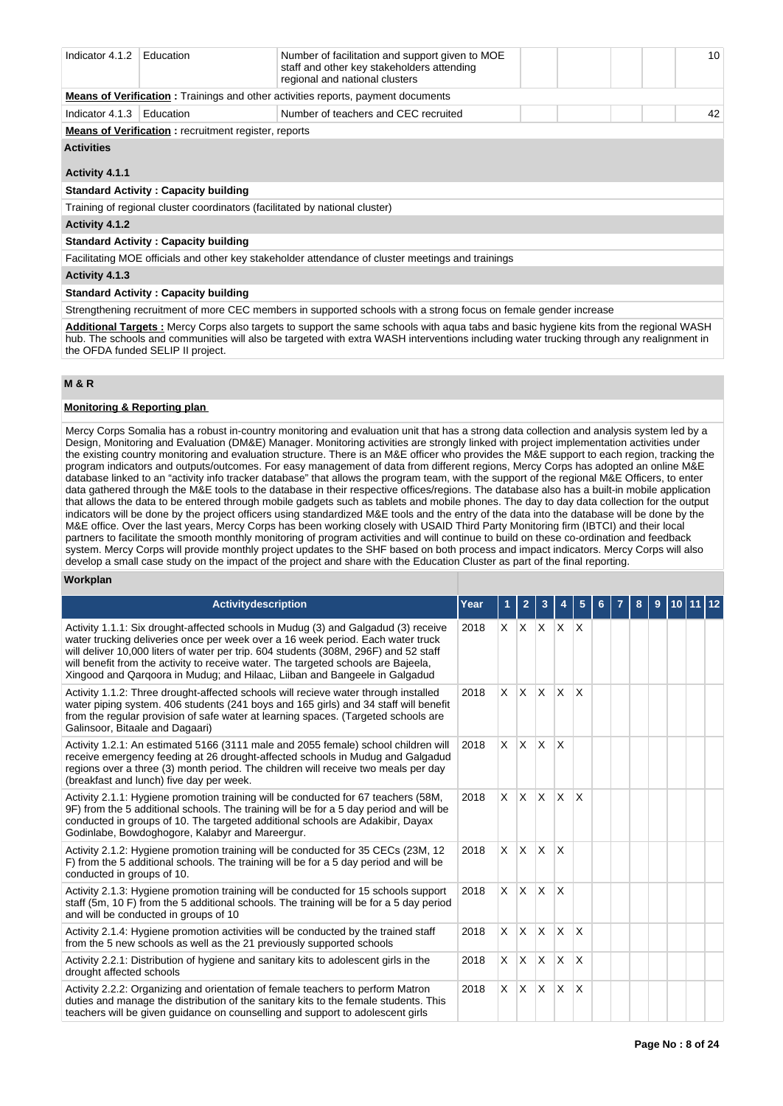| Indicator 4.1.2                                                                         | Education                                                                   | Number of facilitation and support given to MOE<br>staff and other key stakeholders attending<br>regional and national clusters |  |  |  | 10 <sup>1</sup> |  |  |  |  |
|-----------------------------------------------------------------------------------------|-----------------------------------------------------------------------------|---------------------------------------------------------------------------------------------------------------------------------|--|--|--|-----------------|--|--|--|--|
| <b>Means of Verification:</b> Trainings and other activities reports, payment documents |                                                                             |                                                                                                                                 |  |  |  |                 |  |  |  |  |
| Indicator 4.1.3                                                                         | Education                                                                   | Number of teachers and CEC recruited                                                                                            |  |  |  | 42              |  |  |  |  |
|                                                                                         | <b>Means of Verification:</b> recruitment register, reports                 |                                                                                                                                 |  |  |  |                 |  |  |  |  |
| <b>Activities</b>                                                                       |                                                                             |                                                                                                                                 |  |  |  |                 |  |  |  |  |
| Activity 4.1.1                                                                          |                                                                             |                                                                                                                                 |  |  |  |                 |  |  |  |  |
|                                                                                         | <b>Standard Activity: Capacity building</b>                                 |                                                                                                                                 |  |  |  |                 |  |  |  |  |
|                                                                                         | Training of regional cluster coordinators (facilitated by national cluster) |                                                                                                                                 |  |  |  |                 |  |  |  |  |
| Activity 4.1.2                                                                          |                                                                             |                                                                                                                                 |  |  |  |                 |  |  |  |  |

#### **Standard Activity : Capacity building**

Facilitating MOE officials and other key stakeholder attendance of cluster meetings and trainings

**Activity 4.1.3** 

# **Standard Activity : Capacity building**

Strengthening recruitment of more CEC members in supported schools with a strong focus on female gender increase

**Additional Targets :** Mercy Corps also targets to support the same schools with aqua tabs and basic hygiene kits from the regional WASH hub. The schools and communities will also be targeted with extra WASH interventions including water trucking through any realignment in the OFDA funded SELIP II project.

#### **M & R**

### **Monitoring & Reporting plan**

Mercy Corps Somalia has a robust in-country monitoring and evaluation unit that has a strong data collection and analysis system led by a Design, Monitoring and Evaluation (DM&E) Manager. Monitoring activities are strongly linked with project implementation activities under the existing country monitoring and evaluation structure. There is an M&E officer who provides the M&E support to each region, tracking the program indicators and outputs/outcomes. For easy management of data from different regions, Mercy Corps has adopted an online M&E database linked to an "activity info tracker database" that allows the program team, with the support of the regional M&E Officers, to enter data gathered through the M&E tools to the database in their respective offices/regions. The database also has a built-in mobile application that allows the data to be entered through mobile gadgets such as tablets and mobile phones. The day to day data collection for the output indicators will be done by the project officers using standardized M&E tools and the entry of the data into the database will be done by the M&E office. Over the last years, Mercy Corps has been working closely with USAID Third Party Monitoring firm (IBTCI) and their local partners to facilitate the smooth monthly monitoring of program activities and will continue to build on these co-ordination and feedback system. Mercy Corps will provide monthly project updates to the SHF based on both process and impact indicators. Mercy Corps will also develop a small case study on the impact of the project and share with the Education Cluster as part of the final reporting.

### **Workplan**

| <b>Activitydescription</b>                                                                                                                                                                                                                                                                                                                                                                                                        | Year |                | $\mathbf{2}$            | 3                         |                         | 5                       | 6 | 8 | 9 | $10$   11   12 |  |
|-----------------------------------------------------------------------------------------------------------------------------------------------------------------------------------------------------------------------------------------------------------------------------------------------------------------------------------------------------------------------------------------------------------------------------------|------|----------------|-------------------------|---------------------------|-------------------------|-------------------------|---|---|---|----------------|--|
| Activity 1.1.1: Six drought-affected schools in Mudug (3) and Galgadud (3) receive<br>water trucking deliveries once per week over a 16 week period. Each water truck<br>will deliver 10,000 liters of water per trip. 604 students (308M, 296F) and 52 staff<br>will benefit from the activity to receive water. The targeted schools are Bajeela,<br>Xingood and Qargoora in Mudug; and Hilaac, Liiban and Bangeele in Galgadud | 2018 | X.             | X.                      | $\mathsf{X}$ $\mathsf{X}$ |                         | X                       |   |   |   |                |  |
| Activity 1.1.2: Three drought-affected schools will recieve water through installed<br>water piping system. 406 students (241 boys and 165 girls) and 34 staff will benefit<br>from the regular provision of safe water at learning spaces. (Targeted schools are<br>Galinsoor, Bitaale and Dagaari)                                                                                                                              | 2018 | $\times$       | X X                     |                           | $\times$                | $\mathsf{X}$            |   |   |   |                |  |
| Activity 1.2.1: An estimated 5166 (3111 male and 2055 female) school children will<br>receive emergency feeding at 26 drought-affected schools in Mudug and Galgadud<br>regions over a three (3) month period. The children will receive two meals per day<br>(breakfast and lunch) five day per week.                                                                                                                            | 2018 | X.             | X.                      | ΙX.                       | X                       |                         |   |   |   |                |  |
| Activity 2.1.1: Hygiene promotion training will be conducted for 67 teachers (58M,<br>9F) from the 5 additional schools. The training will be for a 5 day period and will be<br>conducted in groups of 10. The targeted additional schools are Adakibir, Dayax<br>Godinlabe, Bowdoghogore, Kalabyr and Mareergur.                                                                                                                 | 2018 | X.             | $\mathsf{I} \mathsf{X}$ | $\mathsf{X}$              | <b>X</b>                | $\mathsf{x}$            |   |   |   |                |  |
| Activity 2.1.2: Hygiene promotion training will be conducted for 35 CECs (23M, 12<br>F) from the 5 additional schools. The training will be for a 5 day period and will be<br>conducted in groups of 10.                                                                                                                                                                                                                          | 2018 | X.             | $\mathsf{X}$            | $\mathsf{X}$              | $\mathsf{I} \mathsf{X}$ |                         |   |   |   |                |  |
| Activity 2.1.3: Hygiene promotion training will be conducted for 15 schools support<br>staff (5m, 10 F) from the 5 additional schools. The training will be for a 5 day period<br>and will be conducted in groups of 10                                                                                                                                                                                                           | 2018 | $\mathsf{X}^-$ | $\mathsf{X} \mathsf{X}$ |                           | $\mathsf{X}$            |                         |   |   |   |                |  |
| Activity 2.1.4: Hygiene promotion activities will be conducted by the trained staff<br>from the 5 new schools as well as the 21 previously supported schools                                                                                                                                                                                                                                                                      | 2018 | $\times$       | X                       | ΙX.                       | $\mathsf{x}$            | $\overline{\mathsf{x}}$ |   |   |   |                |  |
| Activity 2.2.1: Distribution of hygiene and sanitary kits to adolescent girls in the<br>drought affected schools                                                                                                                                                                                                                                                                                                                  | 2018 | X.             | <b>X</b>                | $\mathsf{X}$              | X                       | $\overline{\mathsf{x}}$ |   |   |   |                |  |
| Activity 2.2.2: Organizing and orientation of female teachers to perform Matron<br>duties and manage the distribution of the sanitary kits to the female students. This<br>teachers will be given guidance on counselling and support to adolescent girls                                                                                                                                                                         | 2018 | $\times$       | <b>X</b>                | $\mathsf{X}$              | $\times$                | $\times$                |   |   |   |                |  |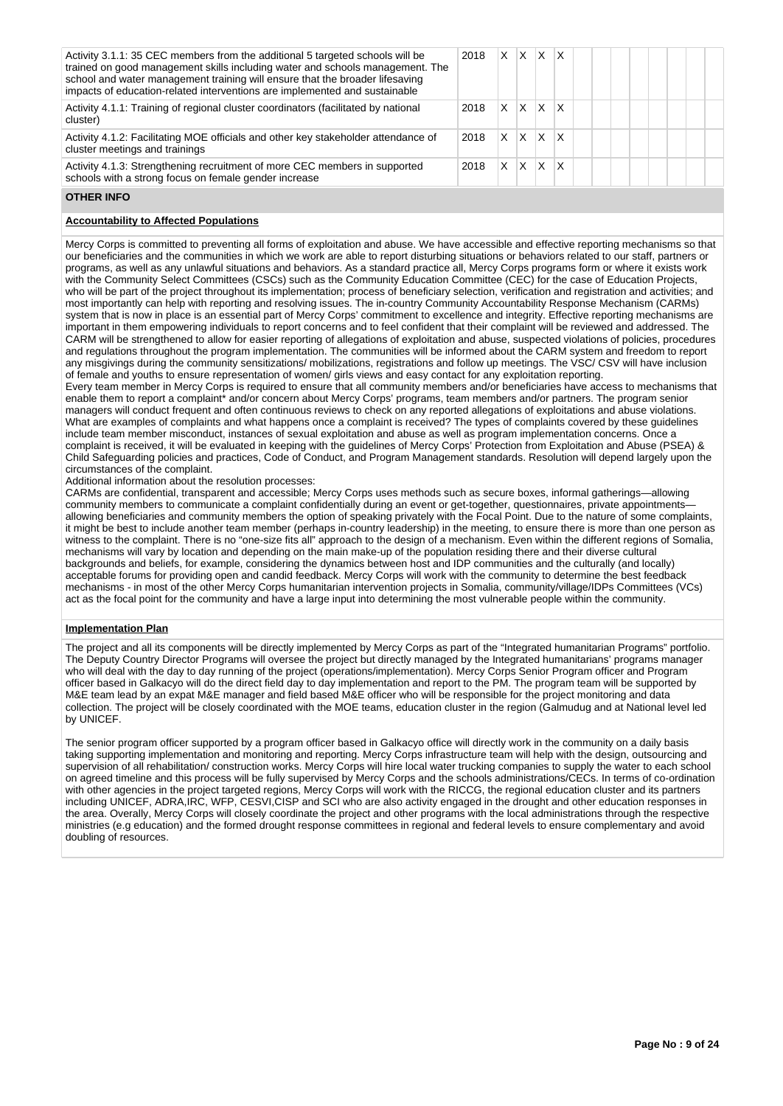| Activity 3.1.1: 35 CEC members from the additional 5 targeted schools will be<br>trained on good management skills including water and schools management. The<br>school and water management training will ensure that the broader lifesaving<br>impacts of education-related interventions are implemented and sustainable | 2018 | X | X | X | X |  |  |  |  |
|------------------------------------------------------------------------------------------------------------------------------------------------------------------------------------------------------------------------------------------------------------------------------------------------------------------------------|------|---|---|---|---|--|--|--|--|
| Activity 4.1.1: Training of regional cluster coordinators (facilitated by national<br>cluster)                                                                                                                                                                                                                               | 2018 | X | X | X | Χ |  |  |  |  |
| Activity 4.1.2: Facilitating MOE officials and other key stakeholder attendance of<br>cluster meetings and trainings                                                                                                                                                                                                         | 2018 | X | X | X | X |  |  |  |  |
| Activity 4.1.3: Strengthening recruitment of more CEC members in supported<br>schools with a strong focus on female gender increase                                                                                                                                                                                          | 2018 | X | X | X | x |  |  |  |  |

# **OTHER INFO**

## **Accountability to Affected Populations**

Mercy Corps is committed to preventing all forms of exploitation and abuse. We have accessible and effective reporting mechanisms so that our beneficiaries and the communities in which we work are able to report disturbing situations or behaviors related to our staff, partners or programs, as well as any unlawful situations and behaviors. As a standard practice all, Mercy Corps programs form or where it exists work with the Community Select Committees (CSCs) such as the Community Education Committee (CEC) for the case of Education Projects, who will be part of the project throughout its implementation; process of beneficiary selection, verification and registration and activities; and most importantly can help with reporting and resolving issues. The in-country Community Accountability Response Mechanism (CARMs) system that is now in place is an essential part of Mercy Corps' commitment to excellence and integrity. Effective reporting mechanisms are important in them empowering individuals to report concerns and to feel confident that their complaint will be reviewed and addressed. The CARM will be strengthened to allow for easier reporting of allegations of exploitation and abuse, suspected violations of policies, procedures and regulations throughout the program implementation. The communities will be informed about the CARM system and freedom to report any misgivings during the community sensitizations/ mobilizations, registrations and follow up meetings. The VSC/ CSV will have inclusion of female and youths to ensure representation of women/ girls views and easy contact for any exploitation reporting.

Every team member in Mercy Corps is required to ensure that all community members and/or beneficiaries have access to mechanisms that enable them to report a complaint\* and/or concern about Mercy Corps' programs, team members and/or partners. The program senior managers will conduct frequent and often continuous reviews to check on any reported allegations of exploitations and abuse violations. What are examples of complaints and what happens once a complaint is received? The types of complaints covered by these guidelines include team member misconduct, instances of sexual exploitation and abuse as well as program implementation concerns. Once a complaint is received, it will be evaluated in keeping with the guidelines of Mercy Corps' Protection from Exploitation and Abuse (PSEA) & Child Safeguarding policies and practices, Code of Conduct, and Program Management standards. Resolution will depend largely upon the circumstances of the complaint.

# Additional information about the resolution processes:

CARMs are confidential, transparent and accessible; Mercy Corps uses methods such as secure boxes, informal gatherings—allowing community members to communicate a complaint confidentially during an event or get-together, questionnaires, private appointmentsallowing beneficiaries and community members the option of speaking privately with the Focal Point. Due to the nature of some complaints, it might be best to include another team member (perhaps in-country leadership) in the meeting, to ensure there is more than one person as witness to the complaint. There is no "one-size fits all" approach to the design of a mechanism. Even within the different regions of Somalia, mechanisms will vary by location and depending on the main make-up of the population residing there and their diverse cultural backgrounds and beliefs, for example, considering the dynamics between host and IDP communities and the culturally (and locally) acceptable forums for providing open and candid feedback. Mercy Corps will work with the community to determine the best feedback mechanisms - in most of the other Mercy Corps humanitarian intervention projects in Somalia, community/village/IDPs Committees (VCs) act as the focal point for the community and have a large input into determining the most vulnerable people within the community.

#### **Implementation Plan**

The project and all its components will be directly implemented by Mercy Corps as part of the "Integrated humanitarian Programs" portfolio. The Deputy Country Director Programs will oversee the project but directly managed by the Integrated humanitarians' programs manager who will deal with the day to day running of the project (operations/implementation). Mercy Corps Senior Program officer and Program officer based in Galkacyo will do the direct field day to day implementation and report to the PM. The program team will be supported by M&E team lead by an expat M&E manager and field based M&E officer who will be responsible for the project monitoring and data collection. The project will be closely coordinated with the MOE teams, education cluster in the region (Galmudug and at National level led by UNICEF.

The senior program officer supported by a program officer based in Galkacyo office will directly work in the community on a daily basis taking supporting implementation and monitoring and reporting. Mercy Corps infrastructure team will help with the design, outsourcing and supervision of all rehabilitation/ construction works. Mercy Corps will hire local water trucking companies to supply the water to each school on agreed timeline and this process will be fully supervised by Mercy Corps and the schools administrations/CECs. In terms of co-ordination with other agencies in the project targeted regions, Mercy Corps will work with the RICCG, the regional education cluster and its partners including UNICEF, ADRA,IRC, WFP, CESVI,CISP and SCI who are also activity engaged in the drought and other education responses in the area. Overally, Mercy Corps will closely coordinate the project and other programs with the local administrations through the respective ministries (e.g education) and the formed drought response committees in regional and federal levels to ensure complementary and avoid doubling of resources.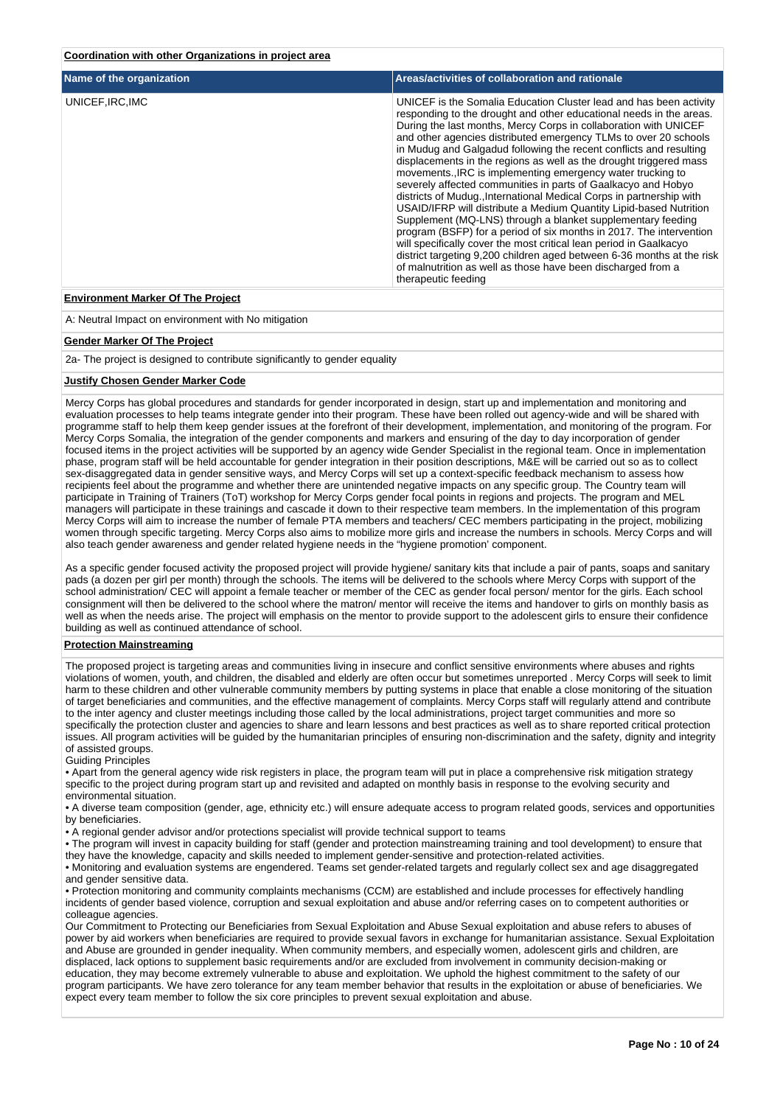### **Coordination with other Organizations in project area**

| Name of the organization                 | Areas/activities of collaboration and rationale                                                                                                                                                                                                                                                                                                                                                                                                                                                                                                                                                                                                                                                                                                                                                                                                                                                                                                                                                                                                                                       |
|------------------------------------------|---------------------------------------------------------------------------------------------------------------------------------------------------------------------------------------------------------------------------------------------------------------------------------------------------------------------------------------------------------------------------------------------------------------------------------------------------------------------------------------------------------------------------------------------------------------------------------------------------------------------------------------------------------------------------------------------------------------------------------------------------------------------------------------------------------------------------------------------------------------------------------------------------------------------------------------------------------------------------------------------------------------------------------------------------------------------------------------|
| UNICEF, IRC, IMC                         | UNICEF is the Somalia Education Cluster lead and has been activity<br>responding to the drought and other educational needs in the areas.<br>During the last months, Mercy Corps in collaboration with UNICEF<br>and other agencies distributed emergency TLMs to over 20 schools<br>in Mudug and Galgadud following the recent conflicts and resulting<br>displacements in the regions as well as the drought triggered mass<br>movementsIRC is implementing emergency water trucking to<br>severely affected communities in parts of Gaalkacyo and Hobyo<br>districts of Muduq., International Medical Corps in partnership with<br>USAID/IFRP will distribute a Medium Quantity Lipid-based Nutrition<br>Supplement (MQ-LNS) through a blanket supplementary feeding<br>program (BSFP) for a period of six months in 2017. The intervention<br>will specifically cover the most critical lean period in Gaalkacyo<br>district targeting 9,200 children aged between 6-36 months at the risk<br>of malnutrition as well as those have been discharged from a<br>therapeutic feeding |
| <b>Environment Marker Of The Project</b> |                                                                                                                                                                                                                                                                                                                                                                                                                                                                                                                                                                                                                                                                                                                                                                                                                                                                                                                                                                                                                                                                                       |

A: Neutral Impact on environment with No mitigation

#### **Gender Marker Of The Project**

2a- The project is designed to contribute significantly to gender equality

#### **Justify Chosen Gender Marker Code**

Mercy Corps has global procedures and standards for gender incorporated in design, start up and implementation and monitoring and evaluation processes to help teams integrate gender into their program. These have been rolled out agency-wide and will be shared with programme staff to help them keep gender issues at the forefront of their development, implementation, and monitoring of the program. For Mercy Corps Somalia, the integration of the gender components and markers and ensuring of the day to day incorporation of gender focused items in the project activities will be supported by an agency wide Gender Specialist in the regional team. Once in implementation phase, program staff will be held accountable for gender integration in their position descriptions, M&E will be carried out so as to collect sex-disaggregated data in gender sensitive ways, and Mercy Corps will set up a context-specific feedback mechanism to assess how recipients feel about the programme and whether there are unintended negative impacts on any specific group. The Country team will participate in Training of Trainers (ToT) workshop for Mercy Corps gender focal points in regions and projects. The program and MEL managers will participate in these trainings and cascade it down to their respective team members. In the implementation of this program Mercy Corps will aim to increase the number of female PTA members and teachers/ CEC members participating in the project, mobilizing women through specific targeting. Mercy Corps also aims to mobilize more girls and increase the numbers in schools. Mercy Corps and will also teach gender awareness and gender related hygiene needs in the "hygiene promotion' component.

As a specific gender focused activity the proposed project will provide hygiene/ sanitary kits that include a pair of pants, soaps and sanitary pads (a dozen per girl per month) through the schools. The items will be delivered to the schools where Mercy Corps with support of the school administration/ CEC will appoint a female teacher or member of the CEC as gender focal person/ mentor for the girls. Each school consignment will then be delivered to the school where the matron/ mentor will receive the items and handover to girls on monthly basis as well as when the needs arise. The project will emphasis on the mentor to provide support to the adolescent girls to ensure their confidence building as well as continued attendance of school.

#### **Protection Mainstreaming**

The proposed project is targeting areas and communities living in insecure and conflict sensitive environments where abuses and rights violations of women, youth, and children, the disabled and elderly are often occur but sometimes unreported . Mercy Corps will seek to limit harm to these children and other vulnerable community members by putting systems in place that enable a close monitoring of the situation of target beneficiaries and communities, and the effective management of complaints. Mercy Corps staff will regularly attend and contribute to the inter agency and cluster meetings including those called by the local administrations, project target communities and more so specifically the protection cluster and agencies to share and learn lessons and best practices as well as to share reported critical protection issues. All program activities will be guided by the humanitarian principles of ensuring non-discrimination and the safety, dignity and integrity of assisted groups.

Guiding Principles

• Apart from the general agency wide risk registers in place, the program team will put in place a comprehensive risk mitigation strategy specific to the project during program start up and revisited and adapted on monthly basis in response to the evolving security and environmental situation.

• A diverse team composition (gender, age, ethnicity etc.) will ensure adequate access to program related goods, services and opportunities by beneficiaries.

• A regional gender advisor and/or protections specialist will provide technical support to teams

• The program will invest in capacity building for staff (gender and protection mainstreaming training and tool development) to ensure that they have the knowledge, capacity and skills needed to implement gender-sensitive and protection-related activities.

• Monitoring and evaluation systems are engendered. Teams set gender-related targets and regularly collect sex and age disaggregated and gender sensitive data.

• Protection monitoring and community complaints mechanisms (CCM) are established and include processes for effectively handling incidents of gender based violence, corruption and sexual exploitation and abuse and/or referring cases on to competent authorities or colleague agencies.

Our Commitment to Protecting our Beneficiaries from Sexual Exploitation and Abuse Sexual exploitation and abuse refers to abuses of power by aid workers when beneficiaries are required to provide sexual favors in exchange for humanitarian assistance. Sexual Exploitation and Abuse are grounded in gender inequality. When community members, and especially women, adolescent girls and children, are displaced, lack options to supplement basic requirements and/or are excluded from involvement in community decision-making or education, they may become extremely vulnerable to abuse and exploitation. We uphold the highest commitment to the safety of our program participants. We have zero tolerance for any team member behavior that results in the exploitation or abuse of beneficiaries. We expect every team member to follow the six core principles to prevent sexual exploitation and abuse.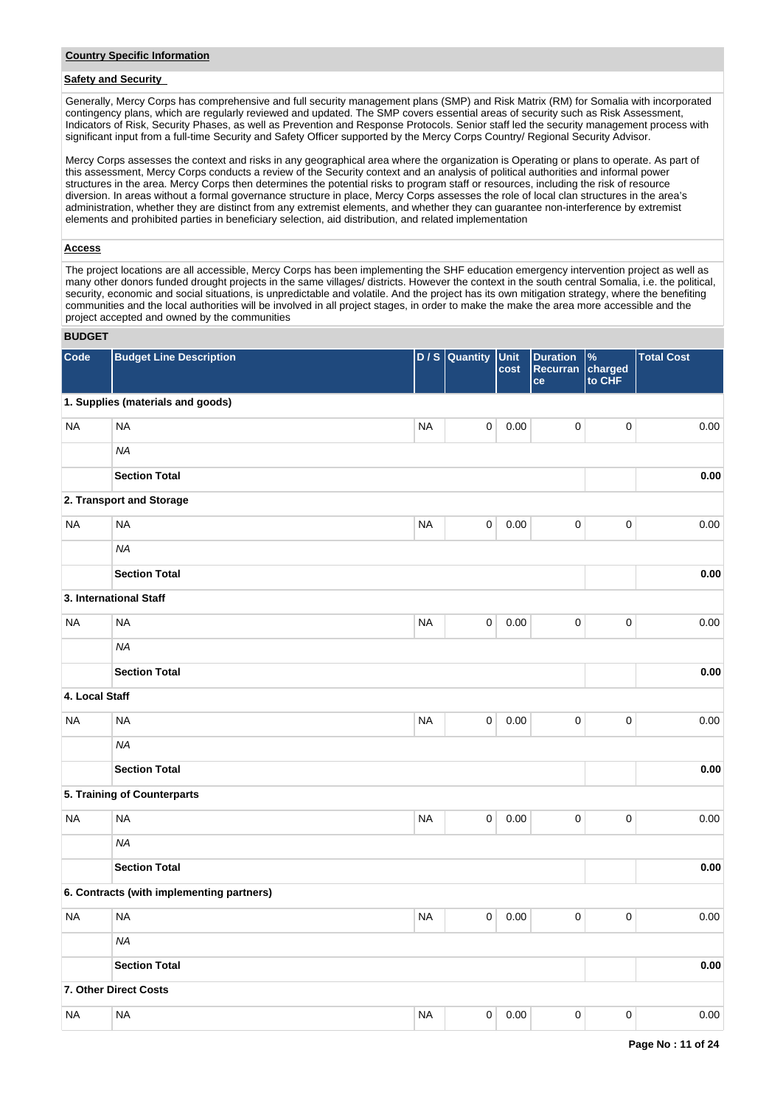# **Safety and Security**

Generally, Mercy Corps has comprehensive and full security management plans (SMP) and Risk Matrix (RM) for Somalia with incorporated contingency plans, which are regularly reviewed and updated. The SMP covers essential areas of security such as Risk Assessment, Indicators of Risk, Security Phases, as well as Prevention and Response Protocols. Senior staff led the security management process with significant input from a full-time Security and Safety Officer supported by the Mercy Corps Country/ Regional Security Advisor.

Mercy Corps assesses the context and risks in any geographical area where the organization is Operating or plans to operate. As part of this assessment, Mercy Corps conducts a review of the Security context and an analysis of political authorities and informal power structures in the area. Mercy Corps then determines the potential risks to program staff or resources, including the risk of resource diversion. In areas without a formal governance structure in place, Mercy Corps assesses the role of local clan structures in the area's administration, whether they are distinct from any extremist elements, and whether they can guarantee non-interference by extremist elements and prohibited parties in beneficiary selection, aid distribution, and related implementation

### **Access**

The project locations are all accessible, Mercy Corps has been implementing the SHF education emergency intervention project as well as many other donors funded drought projects in the same villages/ districts. However the context in the south central Somalia, i.e. the political, security, economic and social situations, is unpredictable and volatile. And the project has its own mitigation strategy, where the benefiting communities and the local authorities will be involved in all project stages, in order to make the make the area more accessible and the project accepted and owned by the communities

## **BUDGET**

| Code           | <b>Budget Line Description</b>            |           | D / S Quantity      | <b>Unit</b><br>cost | <b>Duration</b><br><b>Recurran</b><br>ce | $\%$<br>charged<br>to CHF | <b>Total Cost</b> |
|----------------|-------------------------------------------|-----------|---------------------|---------------------|------------------------------------------|---------------------------|-------------------|
|                | 1. Supplies (materials and goods)         |           |                     |                     |                                          |                           |                   |
| <b>NA</b>      | <b>NA</b>                                 | <b>NA</b> | $\mathsf{O}\xspace$ | 0.00                | $\mathsf 0$                              | $\pmb{0}$                 | 0.00              |
|                | <b>NA</b>                                 |           |                     |                     |                                          |                           |                   |
|                | <b>Section Total</b>                      |           |                     |                     |                                          |                           | 0.00              |
|                | 2. Transport and Storage                  |           |                     |                     |                                          |                           |                   |
| <b>NA</b>      | <b>NA</b>                                 | <b>NA</b> | $\mathbf 0$         | 0.00                | 0                                        | $\pmb{0}$                 | 0.00              |
|                | <b>NA</b>                                 |           |                     |                     |                                          |                           |                   |
|                | <b>Section Total</b>                      |           |                     |                     |                                          |                           | 0.00              |
|                | 3. International Staff                    |           |                     |                     |                                          |                           |                   |
| <b>NA</b>      | <b>NA</b>                                 | <b>NA</b> | $\mathbf 0$         | 0.00                | 0                                        | $\mathbf 0$               | 0.00              |
|                | <b>NA</b>                                 |           |                     |                     |                                          |                           |                   |
|                | <b>Section Total</b>                      |           |                     |                     |                                          |                           | 0.00              |
| 4. Local Staff |                                           |           |                     |                     |                                          |                           |                   |
| <b>NA</b>      | <b>NA</b>                                 | <b>NA</b> | $\mathsf{O}\xspace$ | 0.00                | $\mathsf 0$                              | $\pmb{0}$                 | 0.00              |
|                | <b>NA</b>                                 |           |                     |                     |                                          |                           |                   |
|                | <b>Section Total</b>                      |           |                     |                     |                                          |                           | 0.00              |
|                | 5. Training of Counterparts               |           |                     |                     |                                          |                           |                   |
| <b>NA</b>      | <b>NA</b>                                 | <b>NA</b> | $\mathsf{O}\xspace$ | 0.00                | $\mathbf 0$                              | $\mathbf 0$               | 0.00              |
|                | <b>NA</b>                                 |           |                     |                     |                                          |                           |                   |
|                | <b>Section Total</b>                      |           |                     |                     |                                          |                           | 0.00              |
|                | 6. Contracts (with implementing partners) |           |                     |                     |                                          |                           |                   |
| <b>NA</b>      | <b>NA</b>                                 | <b>NA</b> | $\mathsf{O}\xspace$ | 0.00                | $\mathsf 0$                              | 0                         | 0.00              |
|                | <b>NA</b>                                 |           |                     |                     |                                          |                           |                   |
|                | <b>Section Total</b>                      |           |                     |                     |                                          |                           | 0.00              |
|                | 7. Other Direct Costs                     |           |                     |                     |                                          |                           |                   |
| <b>NA</b>      | <b>NA</b>                                 | <b>NA</b> | $\mathbf 0$         | $0.00\,$            | $\pmb{0}$                                | $\pmb{0}$                 | 0.00              |
|                |                                           |           |                     |                     |                                          |                           |                   |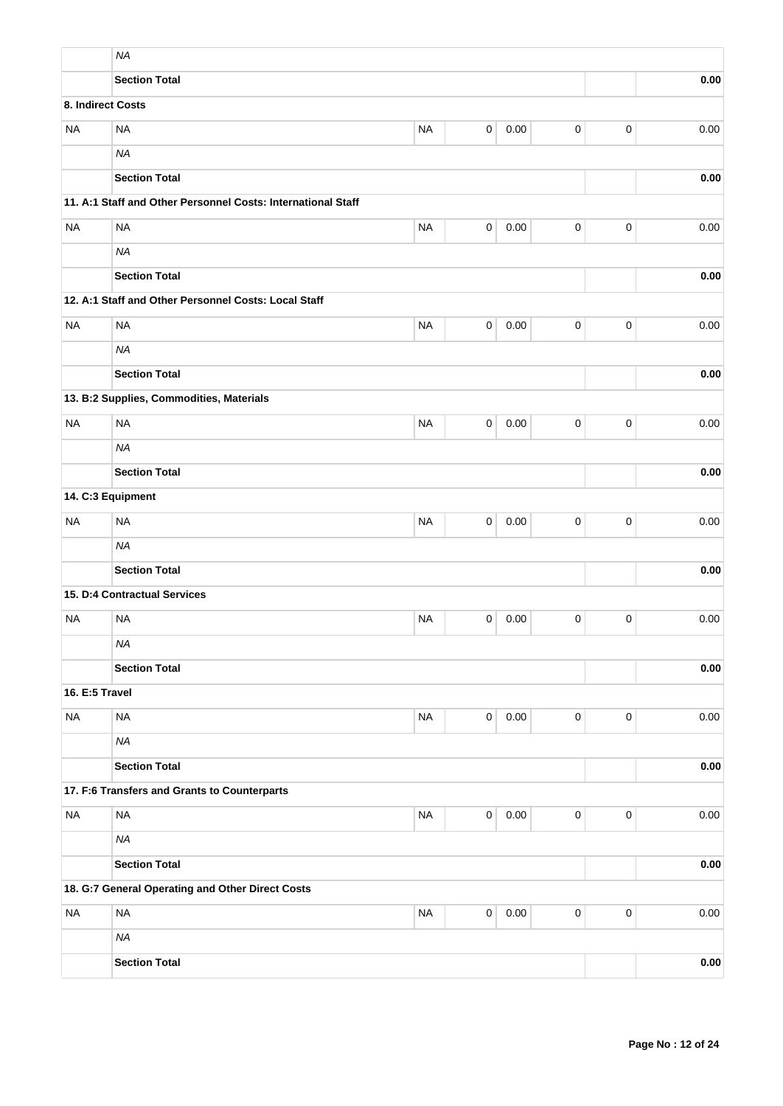|                   | <b>NA</b>                                                    |             |                |      |                     |                     |            |
|-------------------|--------------------------------------------------------------|-------------|----------------|------|---------------------|---------------------|------------|
|                   | <b>Section Total</b>                                         |             |                |      |                     |                     | 0.00       |
| 8. Indirect Costs |                                                              |             |                |      |                     |                     |            |
| <b>NA</b>         | <b>NA</b>                                                    | <b>NA</b>   | $\pmb{0}$      | 0.00 | $\pmb{0}$           | $\mathbf 0$         | 0.00       |
|                   | <b>NA</b>                                                    |             |                |      |                     |                     |            |
|                   | <b>Section Total</b>                                         |             |                |      |                     |                     | 0.00       |
|                   | 11. A:1 Staff and Other Personnel Costs: International Staff |             |                |      |                     |                     |            |
| <b>NA</b>         | <b>NA</b>                                                    | <b>NA</b>   | $\mathbf 0$    | 0.00 | $\mathsf 0$         | $\mathsf 0$         | 0.00       |
|                   | <b>NA</b>                                                    |             |                |      |                     |                     |            |
|                   | <b>Section Total</b>                                         |             |                | 0.00 |                     |                     |            |
|                   | 12. A:1 Staff and Other Personnel Costs: Local Staff         |             |                |      |                     |                     |            |
| <b>NA</b>         | <b>NA</b>                                                    | <b>NA</b>   | 0              | 0.00 | 0                   | $\pmb{0}$           | 0.00       |
|                   | <b>NA</b>                                                    |             |                |      |                     |                     |            |
|                   | <b>Section Total</b>                                         |             |                |      |                     |                     | 0.00       |
|                   | 13. B:2 Supplies, Commodities, Materials                     |             |                |      |                     |                     |            |
| <b>NA</b>         | <b>NA</b>                                                    | $\pmb{0}$   | 0.00           |      |                     |                     |            |
|                   | <b>NA</b>                                                    |             |                |      |                     |                     |            |
|                   | <b>Section Total</b>                                         |             |                | 0.00 |                     |                     |            |
| 14. C:3 Equipment |                                                              |             |                |      |                     |                     |            |
| <b>NA</b>         | <b>NA</b>                                                    | $\mathbf 0$ | 0.00           |      |                     |                     |            |
|                   | <b>NA</b>                                                    |             |                |      |                     |                     |            |
|                   | <b>Section Total</b>                                         |             |                |      |                     |                     | 0.00       |
|                   | 15. D:4 Contractual Services                                 |             |                |      |                     |                     |            |
| <b>NA</b>         | <b>NA</b>                                                    | <b>NA</b>   | 0              | 0.00 | 0                   | $\mathbf 0$         | 0.00       |
|                   | <b>NA</b>                                                    |             |                |      |                     |                     |            |
|                   | <b>Section Total</b>                                         |             |                |      |                     |                     | 0.00       |
| 16. E:5 Travel    |                                                              |             |                |      |                     |                     |            |
| <b>NA</b>         | <b>NA</b>                                                    | <b>NA</b>   | $\mathsf 0$    | 0.00 | 0                   | $\mathsf{O}\xspace$ | 0.00       |
|                   | <b>NA</b>                                                    |             |                |      |                     |                     |            |
|                   | <b>Section Total</b>                                         |             |                |      |                     |                     | $\bf 0.00$ |
|                   | 17. F:6 Transfers and Grants to Counterparts                 |             |                |      |                     |                     |            |
| $\sf NA$          | <b>NA</b>                                                    | $\sf NA$    | $\overline{0}$ | 0.00 | $\pmb{0}$           | $\mathbf 0$         | 0.00       |
|                   | <b>NA</b>                                                    |             |                |      |                     |                     |            |
|                   | <b>Section Total</b>                                         |             |                | 0.00 |                     |                     |            |
|                   | 18. G:7 General Operating and Other Direct Costs             |             |                |      |                     |                     |            |
| <b>NA</b>         | <b>NA</b>                                                    | <b>NA</b>   | $\overline{0}$ | 0.00 | $\mathsf{O}\xspace$ | $\mathbf 0$         | 0.00       |
|                   | <b>NA</b>                                                    |             |                |      |                     |                     |            |
|                   | <b>Section Total</b>                                         |             |                |      |                     |                     | 0.00       |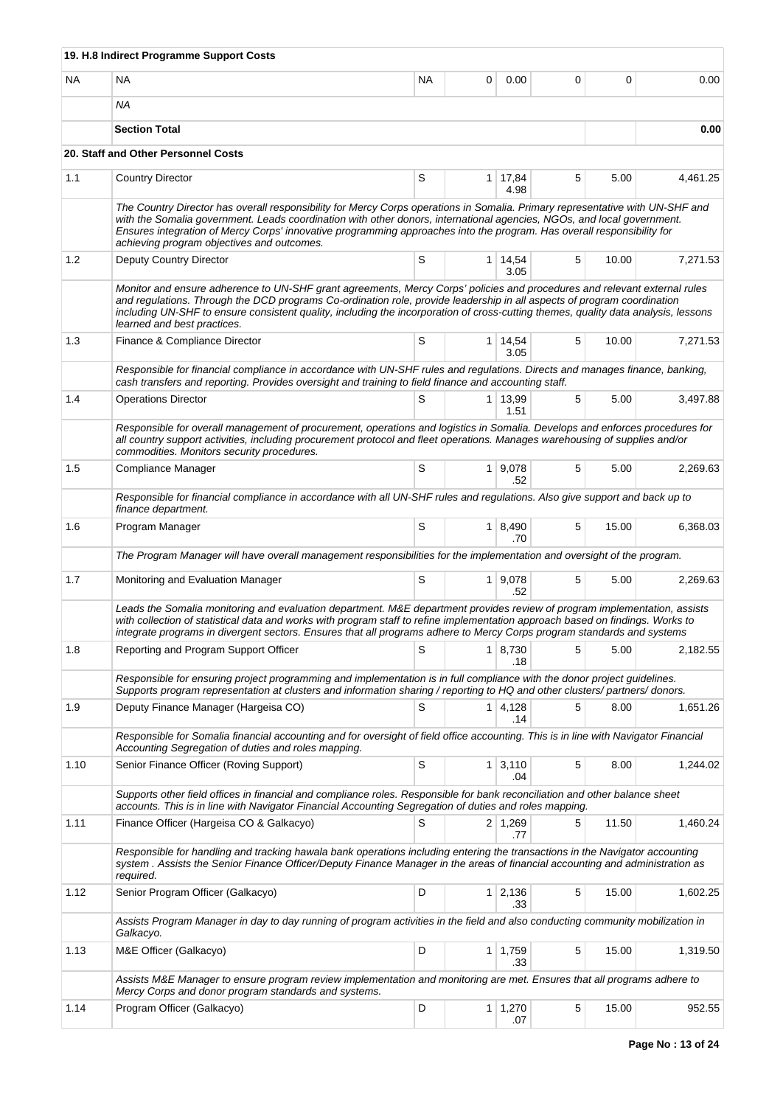|      | 19. H.8 Indirect Programme Support Costs                                                                                                                                                                                                                                                                                                                                                                                        |    |   |                        |   |       |          |  |  |  |  |  |
|------|---------------------------------------------------------------------------------------------------------------------------------------------------------------------------------------------------------------------------------------------------------------------------------------------------------------------------------------------------------------------------------------------------------------------------------|----|---|------------------------|---|-------|----------|--|--|--|--|--|
| ΝA   | NA                                                                                                                                                                                                                                                                                                                                                                                                                              | NA | 0 | 0.00                   | 0 | 0     | 0.00     |  |  |  |  |  |
|      | NA                                                                                                                                                                                                                                                                                                                                                                                                                              |    |   |                        |   |       |          |  |  |  |  |  |
|      | <b>Section Total</b>                                                                                                                                                                                                                                                                                                                                                                                                            |    |   |                        |   |       | 0.00     |  |  |  |  |  |
|      | 20. Staff and Other Personnel Costs                                                                                                                                                                                                                                                                                                                                                                                             |    |   |                        |   |       |          |  |  |  |  |  |
| 1.1  | <b>Country Director</b>                                                                                                                                                                                                                                                                                                                                                                                                         | S  |   | $1 \mid 17,84$<br>4.98 | 5 | 5.00  | 4,461.25 |  |  |  |  |  |
|      | The Country Director has overall responsibility for Mercy Corps operations in Somalia. Primary representative with UN-SHF and<br>with the Somalia government. Leads coordination with other donors, international agencies, NGOs, and local government.<br>Ensures integration of Mercy Corps' innovative programming approaches into the program. Has overall responsibility for<br>achieving program objectives and outcomes. |    |   |                        |   |       |          |  |  |  |  |  |
| 1.2  | Deputy Country Director                                                                                                                                                                                                                                                                                                                                                                                                         | S  |   | 1 14,54<br>3.05        | 5 | 10.00 | 7,271.53 |  |  |  |  |  |
|      | Monitor and ensure adherence to UN-SHF grant agreements, Mercy Corps' policies and procedures and relevant external rules<br>and regulations. Through the DCD programs Co-ordination role, provide leadership in all aspects of program coordination<br>including UN-SHF to ensure consistent quality, including the incorporation of cross-cutting themes, quality data analysis, lessons<br>learned and best practices.       |    |   |                        |   |       |          |  |  |  |  |  |
| 1.3  | Finance & Compliance Director                                                                                                                                                                                                                                                                                                                                                                                                   | S  |   | $1 \mid 14,54$<br>3.05 | 5 | 10.00 | 7,271.53 |  |  |  |  |  |
|      | Responsible for financial compliance in accordance with UN-SHF rules and regulations. Directs and manages finance, banking,<br>cash transfers and reporting. Provides oversight and training to field finance and accounting staff.                                                                                                                                                                                             |    |   |                        |   |       |          |  |  |  |  |  |
| 1.4  | <b>Operations Director</b>                                                                                                                                                                                                                                                                                                                                                                                                      | S  |   | $1 \mid 13,99$<br>1.51 | 5 | 5.00  | 3,497.88 |  |  |  |  |  |
|      | Responsible for overall management of procurement, operations and logistics in Somalia. Develops and enforces procedures for<br>all country support activities, including procurement protocol and fleet operations. Manages warehousing of supplies and/or<br>commodities. Monitors security procedures.                                                                                                                       |    |   |                        |   |       |          |  |  |  |  |  |
| 1.5  | Compliance Manager                                                                                                                                                                                                                                                                                                                                                                                                              | S  |   | 1   9,078<br>.52       | 5 | 5.00  | 2,269.63 |  |  |  |  |  |
|      | Responsible for financial compliance in accordance with all UN-SHF rules and regulations. Also give support and back up to<br>finance department.                                                                                                                                                                                                                                                                               |    |   |                        |   |       |          |  |  |  |  |  |
| 1.6  | Program Manager                                                                                                                                                                                                                                                                                                                                                                                                                 | S  |   | $1 \mid 8,490$<br>.70  | 5 | 15.00 | 6,368.03 |  |  |  |  |  |
|      | The Program Manager will have overall management responsibilities for the implementation and oversight of the program.                                                                                                                                                                                                                                                                                                          |    |   |                        |   |       |          |  |  |  |  |  |
| 1.7  | Monitoring and Evaluation Manager                                                                                                                                                                                                                                                                                                                                                                                               | S  |   | 1 9,078<br>.52         | 5 | 5.00  | 2,269.63 |  |  |  |  |  |
|      | Leads the Somalia monitoring and evaluation department. M&E department provides review of program implementation, assists<br>with collection of statistical data and works with program staff to refine implementation approach based on findings. Works to<br>integrate programs in divergent sectors. Ensures that all programs adhere to Mercy Corps program standards and systems                                           |    |   |                        |   |       |          |  |  |  |  |  |
| 1.8  | Reporting and Program Support Officer                                                                                                                                                                                                                                                                                                                                                                                           | S  |   | $1 \mid 8,730$<br>.18  | 5 | 5.00  | 2,182.55 |  |  |  |  |  |
|      | Responsible for ensuring project programming and implementation is in full compliance with the donor project guidelines.<br>Supports program representation at clusters and information sharing / reporting to HQ and other clusters/ partners/ donors.                                                                                                                                                                         |    |   |                        |   |       |          |  |  |  |  |  |
| 1.9  | Deputy Finance Manager (Hargeisa CO)                                                                                                                                                                                                                                                                                                                                                                                            | S  |   | $1 \mid 4,128$<br>.14  | 5 | 8.00  | 1,651.26 |  |  |  |  |  |
|      | Responsible for Somalia financial accounting and for oversight of field office accounting. This is in line with Navigator Financial<br>Accounting Segregation of duties and roles mapping.                                                                                                                                                                                                                                      |    |   |                        |   |       |          |  |  |  |  |  |
| 1.10 | Senior Finance Officer (Roving Support)                                                                                                                                                                                                                                                                                                                                                                                         | S  |   | $1 \mid 3,110$<br>.04  | 5 | 8.00  | 1,244.02 |  |  |  |  |  |
|      | Supports other field offices in financial and compliance roles. Responsible for bank reconciliation and other balance sheet<br>accounts. This is in line with Navigator Financial Accounting Segregation of duties and roles mapping.                                                                                                                                                                                           |    |   |                        |   |       |          |  |  |  |  |  |
| 1.11 | Finance Officer (Hargeisa CO & Galkacyo)                                                                                                                                                                                                                                                                                                                                                                                        | S  |   | $2 \mid 1,269$<br>.77  | 5 | 11.50 | 1,460.24 |  |  |  |  |  |
|      | Responsible for handling and tracking hawala bank operations including entering the transactions in the Navigator accounting<br>system. Assists the Senior Finance Officer/Deputy Finance Manager in the areas of financial accounting and administration as<br>required.                                                                                                                                                       |    |   |                        |   |       |          |  |  |  |  |  |
| 1.12 | Senior Program Officer (Galkacyo)                                                                                                                                                                                                                                                                                                                                                                                               | D  |   | $1 \mid 2,136$<br>.33  | 5 | 15.00 | 1,602.25 |  |  |  |  |  |
|      | Assists Program Manager in day to day running of program activities in the field and also conducting community mobilization in<br>Galkacyo.                                                                                                                                                                                                                                                                                     |    |   |                        |   |       |          |  |  |  |  |  |
| 1.13 | M&E Officer (Galkacyo)                                                                                                                                                                                                                                                                                                                                                                                                          | D  |   | $1 \mid 1,759$<br>.33  | 5 | 15.00 | 1,319.50 |  |  |  |  |  |
|      | Assists M&E Manager to ensure program review implementation and monitoring are met. Ensures that all programs adhere to<br>Mercy Corps and donor program standards and systems.                                                                                                                                                                                                                                                 |    |   |                        |   |       |          |  |  |  |  |  |
| 1.14 | Program Officer (Galkacyo)                                                                                                                                                                                                                                                                                                                                                                                                      | D  |   | 1   1,270<br>.07       | 5 | 15.00 | 952.55   |  |  |  |  |  |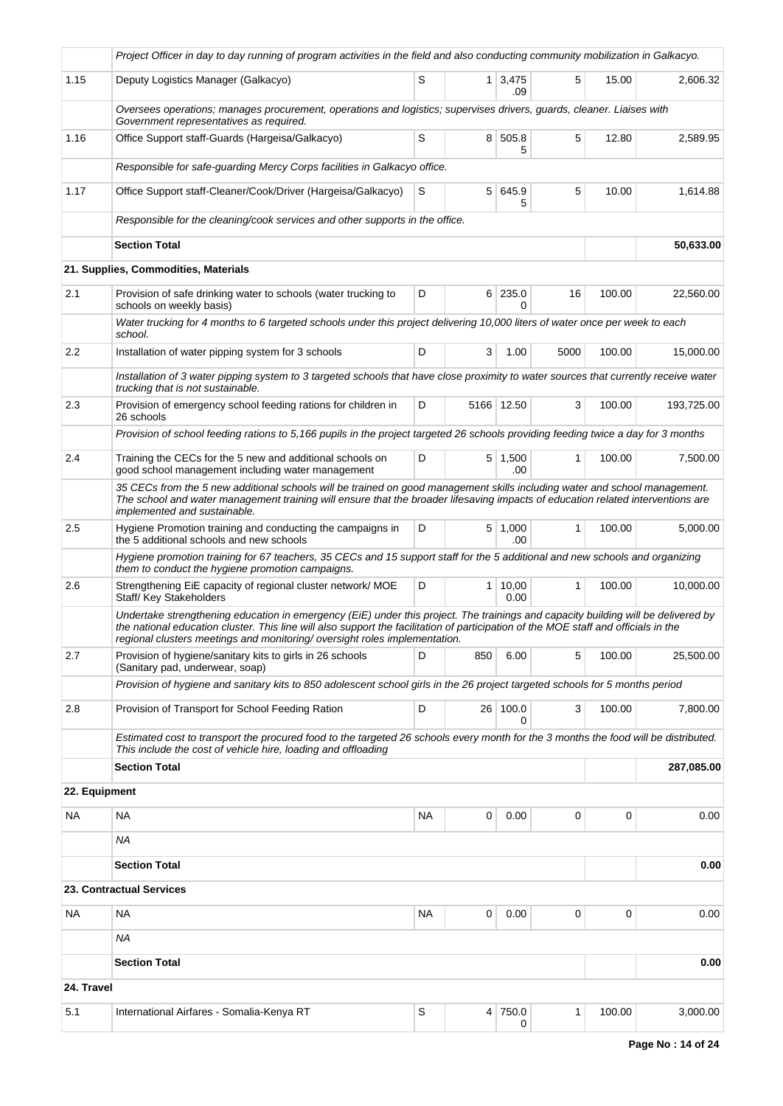|            | Project Officer in day to day running of program activities in the field and also conducting community mobilization in Galkacyo.                                                                                                                                                                                                                      |                      |          |                       |              |             |            |  |  |  |
|------------|-------------------------------------------------------------------------------------------------------------------------------------------------------------------------------------------------------------------------------------------------------------------------------------------------------------------------------------------------------|----------------------|----------|-----------------------|--------------|-------------|------------|--|--|--|
| 1.15       | Deputy Logistics Manager (Galkacyo)                                                                                                                                                                                                                                                                                                                   | S                    |          | $1 \mid 3,475$<br>.09 | 5            | 15.00       | 2,606.32   |  |  |  |
|            | Oversees operations; manages procurement, operations and logistics; supervises drivers, guards, cleaner. Liaises with<br>Government representatives as required.                                                                                                                                                                                      |                      |          |                       |              |             |            |  |  |  |
| 1.16       | Office Support staff-Guards (Hargeisa/Galkacyo)                                                                                                                                                                                                                                                                                                       | S                    |          | 8 505.8<br>5          | 5            | 12.80       | 2,589.95   |  |  |  |
|            | Responsible for safe-guarding Mercy Corps facilities in Galkacyo office.                                                                                                                                                                                                                                                                              |                      |          |                       |              |             |            |  |  |  |
| 1.17       | Office Support staff-Cleaner/Cook/Driver (Hargeisa/Galkacyo)                                                                                                                                                                                                                                                                                          | S                    |          | 5 645.9<br>5          | 5            | 10.00       | 1,614.88   |  |  |  |
|            | Responsible for the cleaning/cook services and other supports in the office.                                                                                                                                                                                                                                                                          |                      |          |                       |              |             |            |  |  |  |
|            | <b>Section Total</b>                                                                                                                                                                                                                                                                                                                                  |                      |          |                       |              |             | 50,633.00  |  |  |  |
|            | 21. Supplies, Commodities, Materials                                                                                                                                                                                                                                                                                                                  |                      |          |                       |              |             |            |  |  |  |
| 2.1        | Provision of safe drinking water to schools (water trucking to<br>schools on weekly basis)                                                                                                                                                                                                                                                            | D                    |          | 6 235.0<br>0          | 16           | 100.00      | 22,560.00  |  |  |  |
|            | Water trucking for 4 months to 6 targeted schools under this project delivering 10,000 liters of water once per week to each<br>school.                                                                                                                                                                                                               |                      |          |                       |              |             |            |  |  |  |
| 2.2        | Installation of water pipping system for 3 schools                                                                                                                                                                                                                                                                                                    | D                    | 3        | 1.00                  | 5000         | 100.00      | 15,000.00  |  |  |  |
|            | Installation of 3 water pipping system to 3 targeted schools that have close proximity to water sources that currently receive water<br>trucking that is not sustainable.                                                                                                                                                                             |                      |          |                       |              |             |            |  |  |  |
| 2.3        | Provision of emergency school feeding rations for children in<br>26 schools                                                                                                                                                                                                                                                                           | 5166 12.50<br>3<br>D |          |                       |              |             |            |  |  |  |
|            | Provision of school feeding rations to 5,166 pupils in the project targeted 26 schools providing feeding twice a day for 3 months                                                                                                                                                                                                                     |                      |          |                       |              |             |            |  |  |  |
| 2.4        | Training the CECs for the 5 new and additional schools on<br>good school management including water management                                                                                                                                                                                                                                        | 100.00               | 7,500.00 |                       |              |             |            |  |  |  |
|            | 35 CECs from the 5 new additional schools will be trained on good management skills including water and school management.<br>The school and water management training will ensure that the broader lifesaving impacts of education related interventions are<br>implemented and sustainable.                                                         |                      |          |                       |              |             |            |  |  |  |
| 2.5        | Hygiene Promotion training and conducting the campaigns in<br>the 5 additional schools and new schools                                                                                                                                                                                                                                                | 100.00               | 5,000.00 |                       |              |             |            |  |  |  |
|            | Hygiene promotion training for 67 teachers, 35 CECs and 15 support staff for the 5 additional and new schools and organizing<br>them to conduct the hygiene promotion campaigns.                                                                                                                                                                      |                      |          |                       |              |             |            |  |  |  |
| 2.6        | Strengthening EiE capacity of regional cluster network/ MOE<br>Staff/ Key Stakeholders                                                                                                                                                                                                                                                                | D                    |          | 1   10,00<br>0.00     | $\mathbf{1}$ | 100.00      | 10,000.00  |  |  |  |
|            | Undertake strengthening education in emergency (EiE) under this project. The trainings and capacity building will be delivered by<br>the national education cluster. This line will also support the facilitation of participation of the MOE staff and officials in the<br>regional clusters meetings and monitoring/oversight roles implementation. |                      |          |                       |              |             |            |  |  |  |
| 2.7        | Provision of hygiene/sanitary kits to girls in 26 schools<br>(Sanitary pad, underwear, soap)                                                                                                                                                                                                                                                          | D                    | 850      | 6.00                  | 5            | 100.00      | 25,500.00  |  |  |  |
|            | Provision of hygiene and sanitary kits to 850 adolescent school girls in the 26 project targeted schools for 5 months period                                                                                                                                                                                                                          |                      |          |                       |              |             |            |  |  |  |
| 2.8        | Provision of Transport for School Feeding Ration                                                                                                                                                                                                                                                                                                      | D                    |          | 26 100.0<br>0         | 3            | 100.00      | 7,800.00   |  |  |  |
|            | Estimated cost to transport the procured food to the targeted 26 schools every month for the 3 months the food will be distributed.<br>This include the cost of vehicle hire, loading and offloading                                                                                                                                                  |                      |          |                       |              |             |            |  |  |  |
|            | <b>Section Total</b>                                                                                                                                                                                                                                                                                                                                  |                      |          |                       |              |             | 287,085.00 |  |  |  |
|            | 22. Equipment                                                                                                                                                                                                                                                                                                                                         |                      |          |                       |              |             |            |  |  |  |
| NA         | NA                                                                                                                                                                                                                                                                                                                                                    | NA                   | 0        | 0.00                  | 0            | $\mathbf 0$ | 0.00       |  |  |  |
|            | ΝA                                                                                                                                                                                                                                                                                                                                                    |                      |          |                       |              |             |            |  |  |  |
|            | <b>Section Total</b>                                                                                                                                                                                                                                                                                                                                  |                      |          |                       |              |             | 0.00       |  |  |  |
|            | <b>23. Contractual Services</b>                                                                                                                                                                                                                                                                                                                       |                      |          |                       |              |             |            |  |  |  |
| NA         | <b>NA</b>                                                                                                                                                                                                                                                                                                                                             | <b>NA</b>            | 0        | 0.00                  | 0            | 0           | 0.00       |  |  |  |
|            | ΝA                                                                                                                                                                                                                                                                                                                                                    |                      |          |                       |              |             |            |  |  |  |
|            | <b>Section Total</b>                                                                                                                                                                                                                                                                                                                                  |                      |          |                       |              |             | 0.00       |  |  |  |
| 24. Travel |                                                                                                                                                                                                                                                                                                                                                       |                      |          |                       |              |             |            |  |  |  |
| 5.1        | International Airfares - Somalia-Kenya RT                                                                                                                                                                                                                                                                                                             | S                    |          | 4 750.0<br>0          | 1            | 100.00      | 3,000.00   |  |  |  |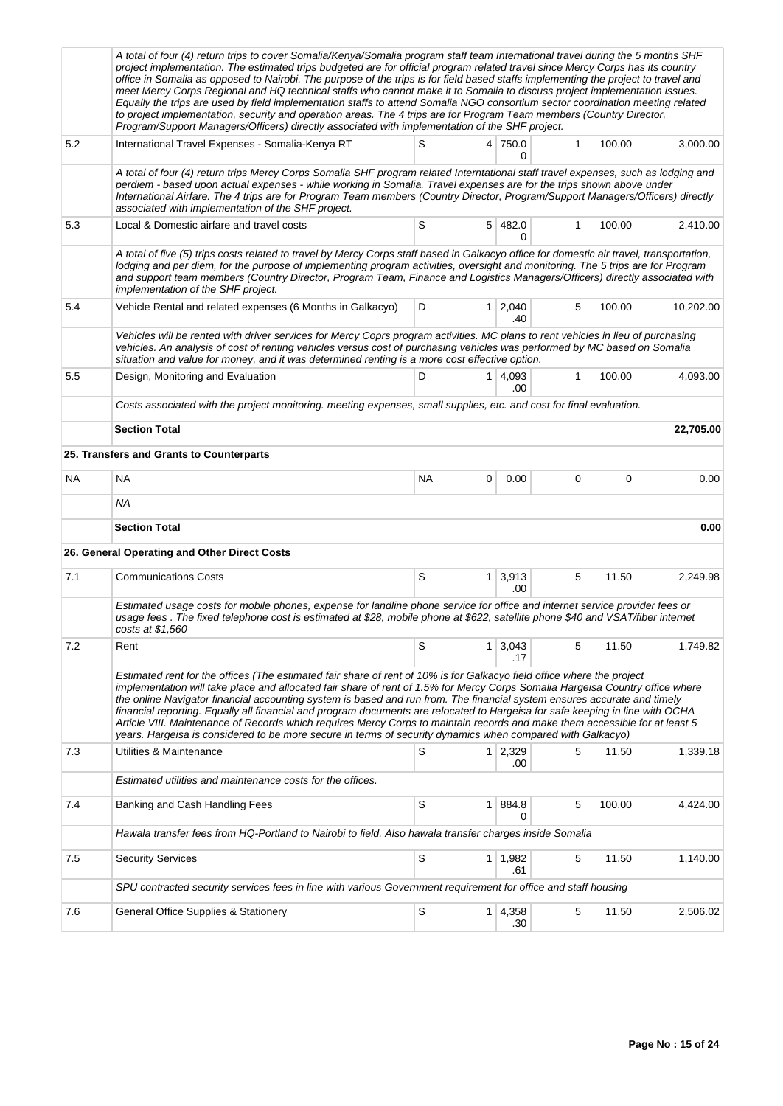|     | A total of four (4) return trips to cover Somalia/Kenya/Somalia program staff team International travel during the 5 months SHF<br>project implementation. The estimated trips budgeted are for official program related travel since Mercy Corps has its country<br>office in Somalia as opposed to Nairobi. The purpose of the trips is for field based staffs implementing the project to travel and<br>meet Mercy Corps Regional and HQ technical staffs who cannot make it to Somalia to discuss project implementation issues.<br>Equally the trips are used by field implementation staffs to attend Somalia NGO consortium sector coordination meeting related<br>to project implementation, security and operation areas. The 4 trips are for Program Team members (Country Director,<br>Program/Support Managers/Officers) directly associated with implementation of the SHF project. |             |                |                       |              |        |           |
|-----|--------------------------------------------------------------------------------------------------------------------------------------------------------------------------------------------------------------------------------------------------------------------------------------------------------------------------------------------------------------------------------------------------------------------------------------------------------------------------------------------------------------------------------------------------------------------------------------------------------------------------------------------------------------------------------------------------------------------------------------------------------------------------------------------------------------------------------------------------------------------------------------------------|-------------|----------------|-----------------------|--------------|--------|-----------|
| 5.2 | International Travel Expenses - Somalia-Kenya RT                                                                                                                                                                                                                                                                                                                                                                                                                                                                                                                                                                                                                                                                                                                                                                                                                                                 | S           |                | 4 750.0<br>0          | $\mathbf{1}$ | 100.00 | 3,000.00  |
|     | A total of four (4) return trips Mercy Corps Somalia SHF program related Interntational staff travel expenses, such as lodging and<br>perdiem - based upon actual expenses - while working in Somalia. Travel expenses are for the trips shown above under<br>International Airfare. The 4 trips are for Program Team members (Country Director, Program/Support Managers/Officers) directly<br>associated with implementation of the SHF project.                                                                                                                                                                                                                                                                                                                                                                                                                                               |             |                |                       |              |        |           |
| 5.3 | Local & Domestic airfare and travel costs                                                                                                                                                                                                                                                                                                                                                                                                                                                                                                                                                                                                                                                                                                                                                                                                                                                        | S           |                | 5 482.0<br>0          | $\mathbf{1}$ | 100.00 | 2,410.00  |
|     | A total of five (5) trips costs related to travel by Mercy Corps staff based in Galkacyo office for domestic air travel, transportation,<br>lodging and per diem, for the purpose of implementing program activities, oversight and monitoring. The 5 trips are for Program<br>and support team members (Country Director, Program Team, Finance and Logistics Managers/Officers) directly associated with<br>implementation of the SHF project.                                                                                                                                                                                                                                                                                                                                                                                                                                                 |             |                |                       |              |        |           |
| 5.4 | Vehicle Rental and related expenses (6 Months in Galkacyo)                                                                                                                                                                                                                                                                                                                                                                                                                                                                                                                                                                                                                                                                                                                                                                                                                                       | D           | 1 <sup>1</sup> | 2,040<br>.40          | 5            | 100.00 | 10,202.00 |
|     | Vehicles will be rented with driver services for Mercy Coprs program activities. MC plans to rent vehicles in lieu of purchasing<br>vehicles. An analysis of cost of renting vehicles versus cost of purchasing vehicles was performed by MC based on Somalia<br>situation and value for money, and it was determined renting is a more cost effective option.                                                                                                                                                                                                                                                                                                                                                                                                                                                                                                                                   |             |                |                       |              |        |           |
| 5.5 | Design, Monitoring and Evaluation                                                                                                                                                                                                                                                                                                                                                                                                                                                                                                                                                                                                                                                                                                                                                                                                                                                                | D           |                | $1 \mid 4,093$<br>.00 | 1            | 100.00 | 4,093.00  |
|     | Costs associated with the project monitoring, meeting expenses, small supplies, etc. and cost for final evaluation.                                                                                                                                                                                                                                                                                                                                                                                                                                                                                                                                                                                                                                                                                                                                                                              |             |                |                       |              |        |           |
|     | <b>Section Total</b>                                                                                                                                                                                                                                                                                                                                                                                                                                                                                                                                                                                                                                                                                                                                                                                                                                                                             |             |                |                       |              |        | 22,705.00 |
|     | 25. Transfers and Grants to Counterparts                                                                                                                                                                                                                                                                                                                                                                                                                                                                                                                                                                                                                                                                                                                                                                                                                                                         |             |                |                       |              |        |           |
| NA. | <b>NA</b>                                                                                                                                                                                                                                                                                                                                                                                                                                                                                                                                                                                                                                                                                                                                                                                                                                                                                        | <b>NA</b>   | 0              | 0.00                  | 0            | 0      | 0.00      |
|     | <b>NA</b>                                                                                                                                                                                                                                                                                                                                                                                                                                                                                                                                                                                                                                                                                                                                                                                                                                                                                        |             |                |                       |              |        |           |
|     | <b>Section Total</b>                                                                                                                                                                                                                                                                                                                                                                                                                                                                                                                                                                                                                                                                                                                                                                                                                                                                             |             |                |                       |              |        | 0.00      |
|     | 26. General Operating and Other Direct Costs                                                                                                                                                                                                                                                                                                                                                                                                                                                                                                                                                                                                                                                                                                                                                                                                                                                     |             |                |                       |              |        |           |
| 7.1 | <b>Communications Costs</b>                                                                                                                                                                                                                                                                                                                                                                                                                                                                                                                                                                                                                                                                                                                                                                                                                                                                      | S           |                | $1 \mid 3,913$<br>.00 | 5            | 11.50  | 2,249.98  |
|     | Estimated usage costs for mobile phones, expense for landline phone service for office and internet service provider fees or<br>usage fees. The fixed telephone cost is estimated at \$28, mobile phone at \$622, satellite phone \$40 and VSAT/fiber internet<br>costs at \$1,560                                                                                                                                                                                                                                                                                                                                                                                                                                                                                                                                                                                                               |             |                |                       |              |        |           |
| 7.2 | Rent                                                                                                                                                                                                                                                                                                                                                                                                                                                                                                                                                                                                                                                                                                                                                                                                                                                                                             | S           | 1              | 3,043<br>.17          | 5            | 11.50  | 1,749.82  |
|     | Estimated rent for the offices (The estimated fair share of rent of 10% is for Galkacyo field office where the project<br>implementation will take place and allocated fair share of rent of 1.5% for Mercy Corps Somalia Hargeisa Country office where<br>the online Navigator financial accounting system is based and run from. The financial system ensures accurate and timely<br>financial reporting. Equally all financial and program documents are relocated to Hargeisa for safe keeping in line with OCHA<br>Article VIII. Maintenance of Records which requires Mercy Corps to maintain records and make them accessible for at least 5<br>years. Hargeisa is considered to be more secure in terms of security dynamics when compared with Galkacyo)                                                                                                                                |             |                |                       |              |        |           |
| 7.3 | Utilities & Maintenance                                                                                                                                                                                                                                                                                                                                                                                                                                                                                                                                                                                                                                                                                                                                                                                                                                                                          | S           |                | $1 \ 2,329$<br>.00    | 5            | 11.50  | 1,339.18  |
|     | Estimated utilities and maintenance costs for the offices.                                                                                                                                                                                                                                                                                                                                                                                                                                                                                                                                                                                                                                                                                                                                                                                                                                       |             |                |                       |              |        |           |
| 7.4 | Banking and Cash Handling Fees                                                                                                                                                                                                                                                                                                                                                                                                                                                                                                                                                                                                                                                                                                                                                                                                                                                                   | S           | 1 <sup>1</sup> | 884.8<br>0            | 5            | 100.00 | 4,424.00  |
|     | Hawala transfer fees from HQ-Portland to Nairobi to field. Also hawala transfer charges inside Somalia                                                                                                                                                                                                                                                                                                                                                                                                                                                                                                                                                                                                                                                                                                                                                                                           |             |                |                       |              |        |           |
| 7.5 | <b>Security Services</b>                                                                                                                                                                                                                                                                                                                                                                                                                                                                                                                                                                                                                                                                                                                                                                                                                                                                         | S           |                | 1 1,982<br>.61        | 5            | 11.50  | 1,140.00  |
|     | SPU contracted security services fees in line with various Government requirement for office and staff housing                                                                                                                                                                                                                                                                                                                                                                                                                                                                                                                                                                                                                                                                                                                                                                                   |             |                |                       |              |        |           |
| 7.6 | General Office Supplies & Stationery                                                                                                                                                                                                                                                                                                                                                                                                                                                                                                                                                                                                                                                                                                                                                                                                                                                             | $\mathbb S$ | $\mathbf{1}$   | 4,358<br>.30          | $\mathbf 5$  | 11.50  | 2,506.02  |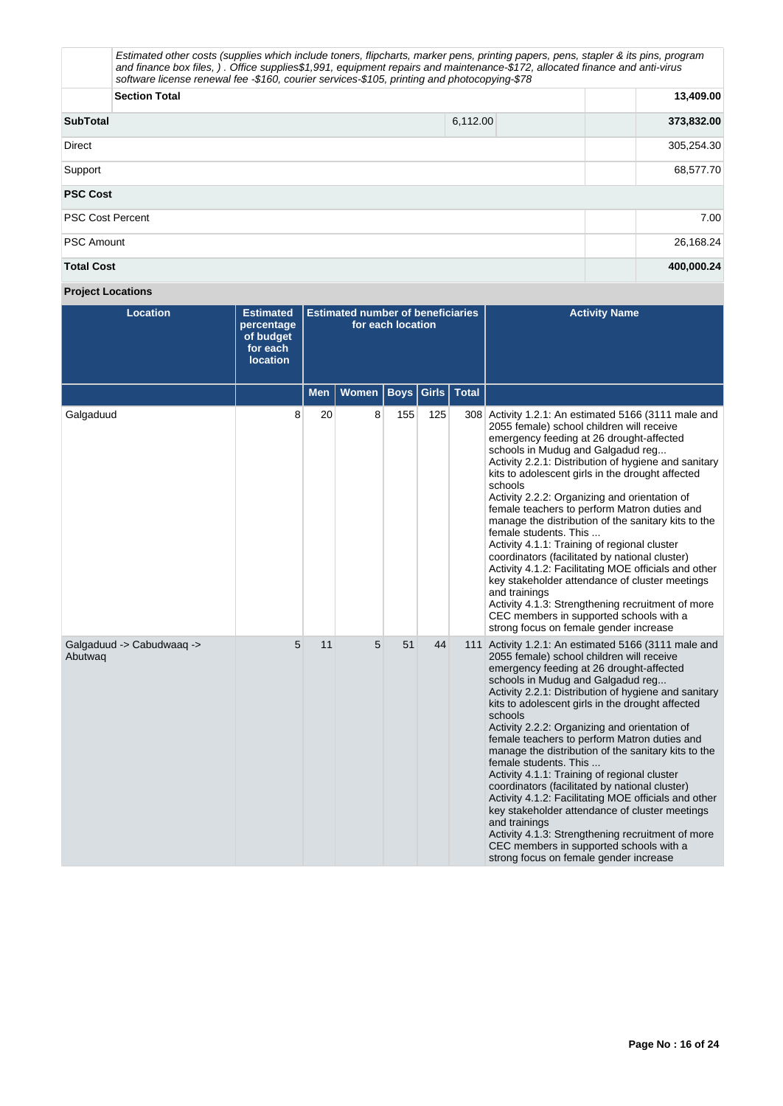|                         | Estimated other costs (supplies which include toners, flipcharts, marker pens, printing papers, pens, stapler & its pins, program<br>and finance box files, ). Office supplies\$1,991, equipment repairs and maintenance-\$172, allocated finance and anti-virus<br>software license renewal fee -\$160, courier services-\$105, printing and photocopying-\$78 |          |            |  |  |  |  |  |
|-------------------------|-----------------------------------------------------------------------------------------------------------------------------------------------------------------------------------------------------------------------------------------------------------------------------------------------------------------------------------------------------------------|----------|------------|--|--|--|--|--|
|                         | <b>Section Total</b>                                                                                                                                                                                                                                                                                                                                            |          |            |  |  |  |  |  |
| <b>SubTotal</b>         |                                                                                                                                                                                                                                                                                                                                                                 | 6,112.00 | 373,832.00 |  |  |  |  |  |
| Direct                  | 305,254.30                                                                                                                                                                                                                                                                                                                                                      |          |            |  |  |  |  |  |
| Support                 | 68,577.70                                                                                                                                                                                                                                                                                                                                                       |          |            |  |  |  |  |  |
| <b>PSC Cost</b>         |                                                                                                                                                                                                                                                                                                                                                                 |          |            |  |  |  |  |  |
| <b>PSC Cost Percent</b> |                                                                                                                                                                                                                                                                                                                                                                 |          | 7.00       |  |  |  |  |  |
| <b>PSC Amount</b>       |                                                                                                                                                                                                                                                                                                                                                                 |          | 26,168.24  |  |  |  |  |  |
| <b>Total Cost</b>       |                                                                                                                                                                                                                                                                                                                                                                 |          | 400,000.24 |  |  |  |  |  |

# **Project Locations**

| <b>Location</b>                      | <b>Estimated</b><br>percentage<br>of budget<br>for each<br><b>location</b> |            | <b>Estimated number of beneficiaries</b> | for each location       |     | <b>Activity Name</b>                                                                                                                                                                                                                                                                                                                                                                                                                                                                                                                                                                                                                                                                                                                                                                                                                                              |
|--------------------------------------|----------------------------------------------------------------------------|------------|------------------------------------------|-------------------------|-----|-------------------------------------------------------------------------------------------------------------------------------------------------------------------------------------------------------------------------------------------------------------------------------------------------------------------------------------------------------------------------------------------------------------------------------------------------------------------------------------------------------------------------------------------------------------------------------------------------------------------------------------------------------------------------------------------------------------------------------------------------------------------------------------------------------------------------------------------------------------------|
|                                      |                                                                            | <b>Men</b> | Women                                    | <b>Boys Girls Total</b> |     |                                                                                                                                                                                                                                                                                                                                                                                                                                                                                                                                                                                                                                                                                                                                                                                                                                                                   |
| Galgaduud                            | 8                                                                          | 20         | 8                                        | 155                     | 125 | 308 Activity 1.2.1: An estimated 5166 (3111 male and<br>2055 female) school children will receive<br>emergency feeding at 26 drought-affected<br>schools in Mudug and Galgadud reg<br>Activity 2.2.1: Distribution of hygiene and sanitary<br>kits to adolescent girls in the drought affected<br>schools<br>Activity 2.2.2: Organizing and orientation of<br>female teachers to perform Matron duties and<br>manage the distribution of the sanitary kits to the<br>female students. This<br>Activity 4.1.1: Training of regional cluster<br>coordinators (facilitated by national cluster)<br>Activity 4.1.2: Facilitating MOE officials and other<br>key stakeholder attendance of cluster meetings<br>and trainings<br>Activity 4.1.3: Strengthening recruitment of more<br>CEC members in supported schools with a<br>strong focus on female gender increase |
| Galgaduud -> Cabudwaaq -><br>Abutwaq | 5                                                                          | 11         | 5                                        | 51                      | 44  | 111 Activity 1.2.1: An estimated 5166 (3111 male and<br>2055 female) school children will receive<br>emergency feeding at 26 drought-affected<br>schools in Mudug and Galgadud reg<br>Activity 2.2.1: Distribution of hygiene and sanitary<br>kits to adolescent girls in the drought affected<br>schools<br>Activity 2.2.2: Organizing and orientation of<br>female teachers to perform Matron duties and<br>manage the distribution of the sanitary kits to the<br>female students. This<br>Activity 4.1.1: Training of regional cluster<br>coordinators (facilitated by national cluster)<br>Activity 4.1.2: Facilitating MOE officials and other<br>key stakeholder attendance of cluster meetings<br>and trainings<br>Activity 4.1.3: Strengthening recruitment of more<br>CEC members in supported schools with a<br>strong focus on female gender increase |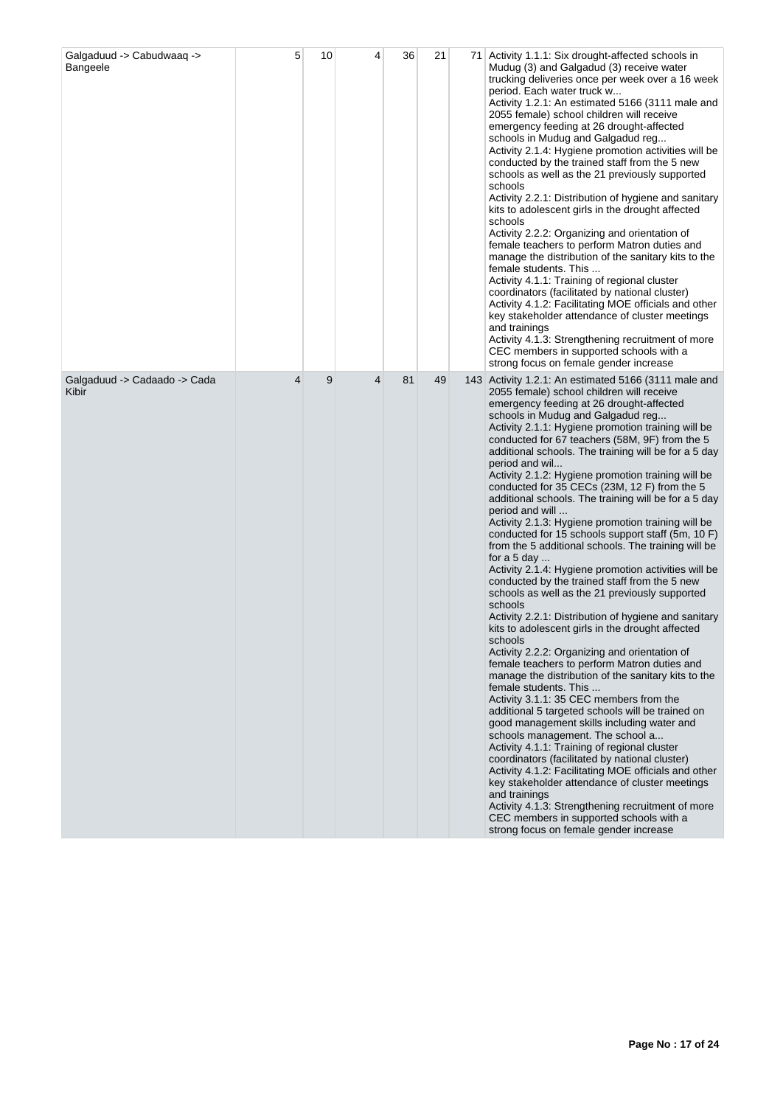| Galgaduud -> Cabudwaaq -><br>Bangeele | 5 | 10 | 4 | 36 | 21 | 71 Activity 1.1.1: Six drought-affected schools in<br>Mudug (3) and Galgadud (3) receive water<br>trucking deliveries once per week over a 16 week<br>period. Each water truck w<br>Activity 1.2.1: An estimated 5166 (3111 male and<br>2055 female) school children will receive<br>emergency feeding at 26 drought-affected<br>schools in Mudug and Galgadud reg<br>Activity 2.1.4: Hygiene promotion activities will be<br>conducted by the trained staff from the 5 new<br>schools as well as the 21 previously supported<br>schools<br>Activity 2.2.1: Distribution of hygiene and sanitary<br>kits to adolescent girls in the drought affected<br>schools<br>Activity 2.2.2: Organizing and orientation of<br>female teachers to perform Matron duties and<br>manage the distribution of the sanitary kits to the<br>female students. This<br>Activity 4.1.1: Training of regional cluster<br>coordinators (facilitated by national cluster)<br>Activity 4.1.2: Facilitating MOE officials and other<br>key stakeholder attendance of cluster meetings<br>and trainings<br>Activity 4.1.3: Strengthening recruitment of more<br>CEC members in supported schools with a<br>strong focus on female gender increase                                                                                                                                                                                                                                                                                                                                                                                                                                                                                                                                                      |
|---------------------------------------|---|----|---|----|----|------------------------------------------------------------------------------------------------------------------------------------------------------------------------------------------------------------------------------------------------------------------------------------------------------------------------------------------------------------------------------------------------------------------------------------------------------------------------------------------------------------------------------------------------------------------------------------------------------------------------------------------------------------------------------------------------------------------------------------------------------------------------------------------------------------------------------------------------------------------------------------------------------------------------------------------------------------------------------------------------------------------------------------------------------------------------------------------------------------------------------------------------------------------------------------------------------------------------------------------------------------------------------------------------------------------------------------------------------------------------------------------------------------------------------------------------------------------------------------------------------------------------------------------------------------------------------------------------------------------------------------------------------------------------------------------------------------------------------------------------------------------------------|
| Galgaduud -> Cadaado -> Cada<br>Kibir | 4 | 9  | 4 | 81 | 49 | 143 Activity 1.2.1: An estimated 5166 (3111 male and<br>2055 female) school children will receive<br>emergency feeding at 26 drought-affected<br>schools in Mudug and Galgadud reg<br>Activity 2.1.1: Hygiene promotion training will be<br>conducted for 67 teachers (58M, 9F) from the 5<br>additional schools. The training will be for a 5 day<br>period and wil<br>Activity 2.1.2: Hygiene promotion training will be<br>conducted for 35 CECs (23M, 12 F) from the 5<br>additional schools. The training will be for a 5 day<br>period and will<br>Activity 2.1.3: Hygiene promotion training will be<br>conducted for 15 schools support staff (5m, 10 F)<br>from the 5 additional schools. The training will be<br>for a 5 day<br>Activity 2.1.4. Hygiene promotion activities will be<br>conducted by the trained staff from the 5 new<br>schools as well as the 21 previously supported<br>schools<br>Activity 2.2.1: Distribution of hygiene and sanitary<br>kits to adolescent girls in the drought affected<br>schools<br>Activity 2.2.2: Organizing and orientation of<br>female teachers to perform Matron duties and<br>manage the distribution of the sanitary kits to the<br>female students. This<br>Activity 3.1.1: 35 CEC members from the<br>additional 5 targeted schools will be trained on<br>good management skills including water and<br>schools management. The school a<br>Activity 4.1.1: Training of regional cluster<br>coordinators (facilitated by national cluster)<br>Activity 4.1.2: Facilitating MOE officials and other<br>key stakeholder attendance of cluster meetings<br>and trainings<br>Activity 4.1.3: Strengthening recruitment of more<br>CEC members in supported schools with a<br>strong focus on female gender increase |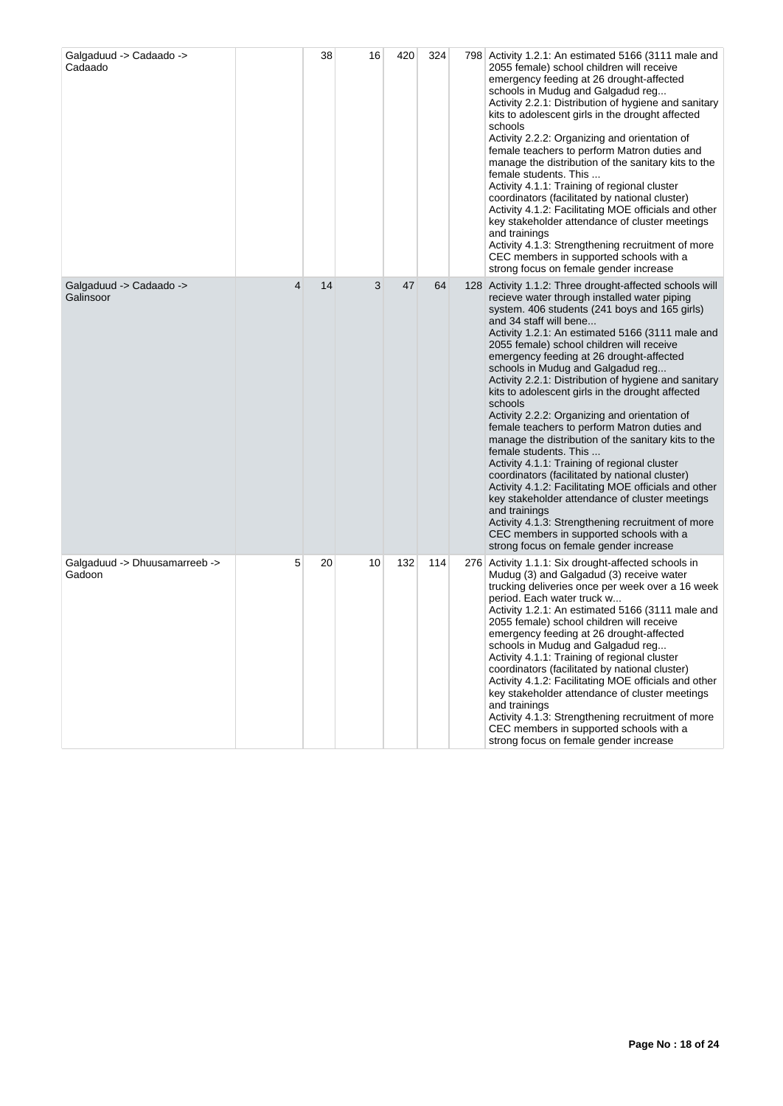| Galgaduud -> Cadaado -><br>Cadaado      |   | 38 | 16 | 420 | 324 | 798 Activity 1.2.1: An estimated 5166 (3111 male and<br>2055 female) school children will receive<br>emergency feeding at 26 drought-affected<br>schools in Mudug and Galgadud reg<br>Activity 2.2.1: Distribution of hygiene and sanitary<br>kits to adolescent girls in the drought affected<br>schools<br>Activity 2.2.2: Organizing and orientation of<br>female teachers to perform Matron duties and<br>manage the distribution of the sanitary kits to the<br>female students. This<br>Activity 4.1.1: Training of regional cluster<br>coordinators (facilitated by national cluster)<br>Activity 4.1.2: Facilitating MOE officials and other<br>key stakeholder attendance of cluster meetings<br>and trainings<br>Activity 4.1.3: Strengthening recruitment of more<br>CEC members in supported schools with a<br>strong focus on female gender increase                                                                                                                                                                                   |
|-----------------------------------------|---|----|----|-----|-----|-----------------------------------------------------------------------------------------------------------------------------------------------------------------------------------------------------------------------------------------------------------------------------------------------------------------------------------------------------------------------------------------------------------------------------------------------------------------------------------------------------------------------------------------------------------------------------------------------------------------------------------------------------------------------------------------------------------------------------------------------------------------------------------------------------------------------------------------------------------------------------------------------------------------------------------------------------------------------------------------------------------------------------------------------------|
| Galgaduud -> Cadaado -><br>Galinsoor    | 4 | 14 | 3  | 47  | 64  | 128 Activity 1.1.2: Three drought-affected schools will<br>recieve water through installed water piping<br>system. 406 students (241 boys and 165 girls)<br>and 34 staff will bene<br>Activity 1.2.1: An estimated 5166 (3111 male and<br>2055 female) school children will receive<br>emergency feeding at 26 drought-affected<br>schools in Mudug and Galgadud reg<br>Activity 2.2.1: Distribution of hygiene and sanitary<br>kits to adolescent girls in the drought affected<br>schools<br>Activity 2.2.2: Organizing and orientation of<br>female teachers to perform Matron duties and<br>manage the distribution of the sanitary kits to the<br>female students. This<br>Activity 4.1.1: Training of regional cluster<br>coordinators (facilitated by national cluster)<br>Activity 4.1.2: Facilitating MOE officials and other<br>key stakeholder attendance of cluster meetings<br>and trainings<br>Activity 4.1.3: Strengthening recruitment of more<br>CEC members in supported schools with a<br>strong focus on female gender increase |
| Galgaduud -> Dhuusamarreeb -><br>Gadoon | 5 | 20 | 10 | 132 | 114 | 276 Activity 1.1.1: Six drought-affected schools in<br>Mudug (3) and Galgadud (3) receive water<br>trucking deliveries once per week over a 16 week<br>period. Each water truck w<br>Activity 1.2.1: An estimated 5166 (3111 male and<br>2055 female) school children will receive<br>emergency feeding at 26 drought-affected<br>schools in Mudug and Galgadud reg<br>Activity 4.1.1: Training of regional cluster<br>coordinators (facilitated by national cluster)<br>Activity 4.1.2: Facilitating MOE officials and other<br>key stakeholder attendance of cluster meetings<br>and trainings<br>Activity 4.1.3: Strengthening recruitment of more<br>CEC members in supported schools with a<br>strong focus on female gender increase                                                                                                                                                                                                                                                                                                          |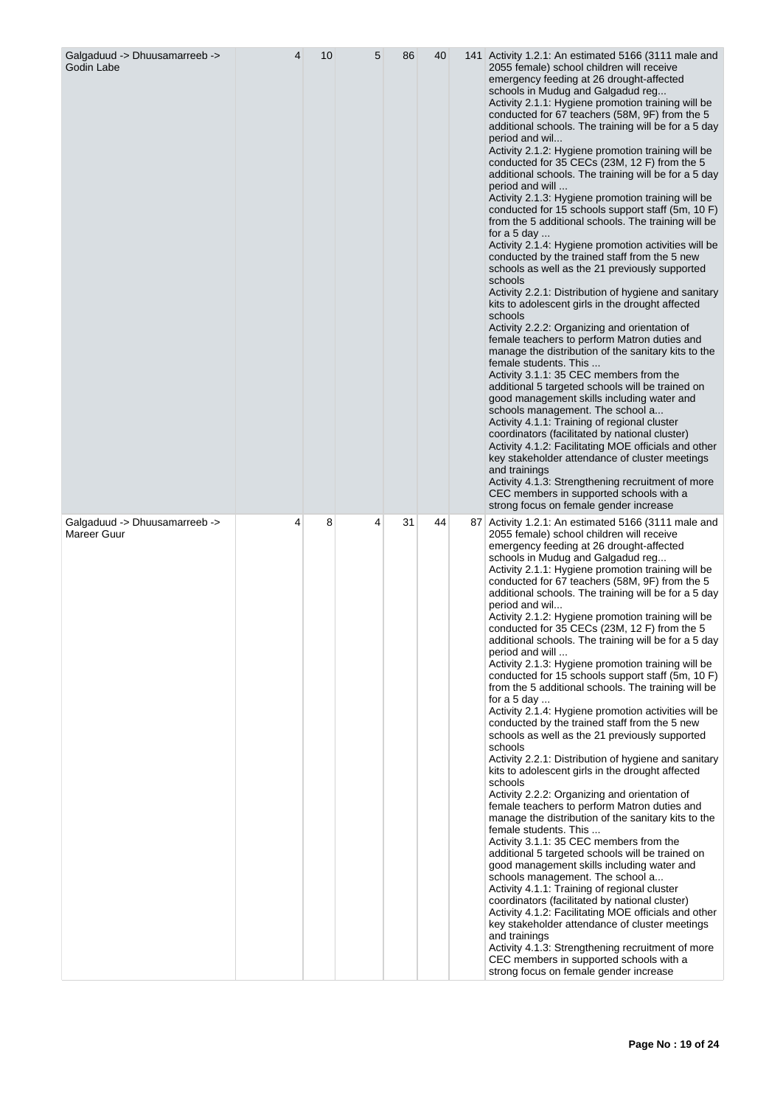| Galgaduud -> Dhuusamarreeb -><br>Godin Labe  | 4 | 10 | 5 | 86 | 40 | 141 Activity 1.2.1: An estimated 5166 (3111 male and<br>2055 female) school children will receive<br>emergency feeding at 26 drought-affected<br>schools in Mudug and Galgadud reg<br>Activity 2.1.1: Hygiene promotion training will be<br>conducted for 67 teachers (58M, 9F) from the 5<br>additional schools. The training will be for a 5 day<br>period and wil<br>Activity 2.1.2: Hygiene promotion training will be<br>conducted for 35 CECs (23M, 12 F) from the 5<br>additional schools. The training will be for a 5 day<br>period and will<br>Activity 2.1.3: Hygiene promotion training will be<br>conducted for 15 schools support staff (5m, 10 F)<br>from the 5 additional schools. The training will be<br>for a $5$ day<br>Activity 2.1.4: Hygiene promotion activities will be<br>conducted by the trained staff from the 5 new<br>schools as well as the 21 previously supported<br>schools<br>Activity 2.2.1: Distribution of hygiene and sanitary<br>kits to adolescent girls in the drought affected<br>schools<br>Activity 2.2.2: Organizing and orientation of<br>female teachers to perform Matron duties and<br>manage the distribution of the sanitary kits to the<br>female students. This<br>Activity 3.1.1: 35 CEC members from the<br>additional 5 targeted schools will be trained on<br>good management skills including water and<br>schools management. The school a<br>Activity 4.1.1: Training of regional cluster<br>coordinators (facilitated by national cluster)<br>Activity 4.1.2: Facilitating MOE officials and other<br>key stakeholder attendance of cluster meetings<br>and trainings<br>Activity 4.1.3: Strengthening recruitment of more<br>CEC members in supported schools with a<br>strong focus on female gender increase |
|----------------------------------------------|---|----|---|----|----|--------------------------------------------------------------------------------------------------------------------------------------------------------------------------------------------------------------------------------------------------------------------------------------------------------------------------------------------------------------------------------------------------------------------------------------------------------------------------------------------------------------------------------------------------------------------------------------------------------------------------------------------------------------------------------------------------------------------------------------------------------------------------------------------------------------------------------------------------------------------------------------------------------------------------------------------------------------------------------------------------------------------------------------------------------------------------------------------------------------------------------------------------------------------------------------------------------------------------------------------------------------------------------------------------------------------------------------------------------------------------------------------------------------------------------------------------------------------------------------------------------------------------------------------------------------------------------------------------------------------------------------------------------------------------------------------------------------------------------------------------------------------------------|
| Galgaduud -> Dhuusamarreeb -><br>Mareer Guur | 4 | 8  | 4 | 31 | 44 | 87 Activity 1.2.1: An estimated 5166 (3111 male and<br>2055 female) school children will receive<br>emergency feeding at 26 drought-affected<br>schools in Mudug and Galgadud reg<br>Activity 2.1.1: Hygiene promotion training will be<br>conducted for 67 teachers (58M, 9F) from the 5<br>additional schools. The training will be for a 5 day<br>period and wil<br>Activity 2.1.2: Hygiene promotion training will be<br>conducted for 35 CECs (23M, 12 F) from the 5<br>additional schools. The training will be for a 5 day<br>period and will<br>Activity 2.1.3: Hygiene promotion training will be<br>conducted for 15 schools support staff (5m, 10 F)<br>from the 5 additional schools. The training will be<br>for a $5$ day<br>Activity 2.1.4: Hygiene promotion activities will be<br>conducted by the trained staff from the 5 new<br>schools as well as the 21 previously supported<br>schools<br>Activity 2.2.1: Distribution of hygiene and sanitary<br>kits to adolescent girls in the drought affected<br>schools<br>Activity 2.2.2: Organizing and orientation of<br>female teachers to perform Matron duties and<br>manage the distribution of the sanitary kits to the<br>female students. This<br>Activity 3.1.1: 35 CEC members from the<br>additional 5 targeted schools will be trained on<br>good management skills including water and<br>schools management. The school a<br>Activity 4.1.1: Training of regional cluster<br>coordinators (facilitated by national cluster)<br>Activity 4.1.2: Facilitating MOE officials and other<br>key stakeholder attendance of cluster meetings<br>and trainings<br>Activity 4.1.3: Strengthening recruitment of more<br>CEC members in supported schools with a<br>strong focus on female gender increase  |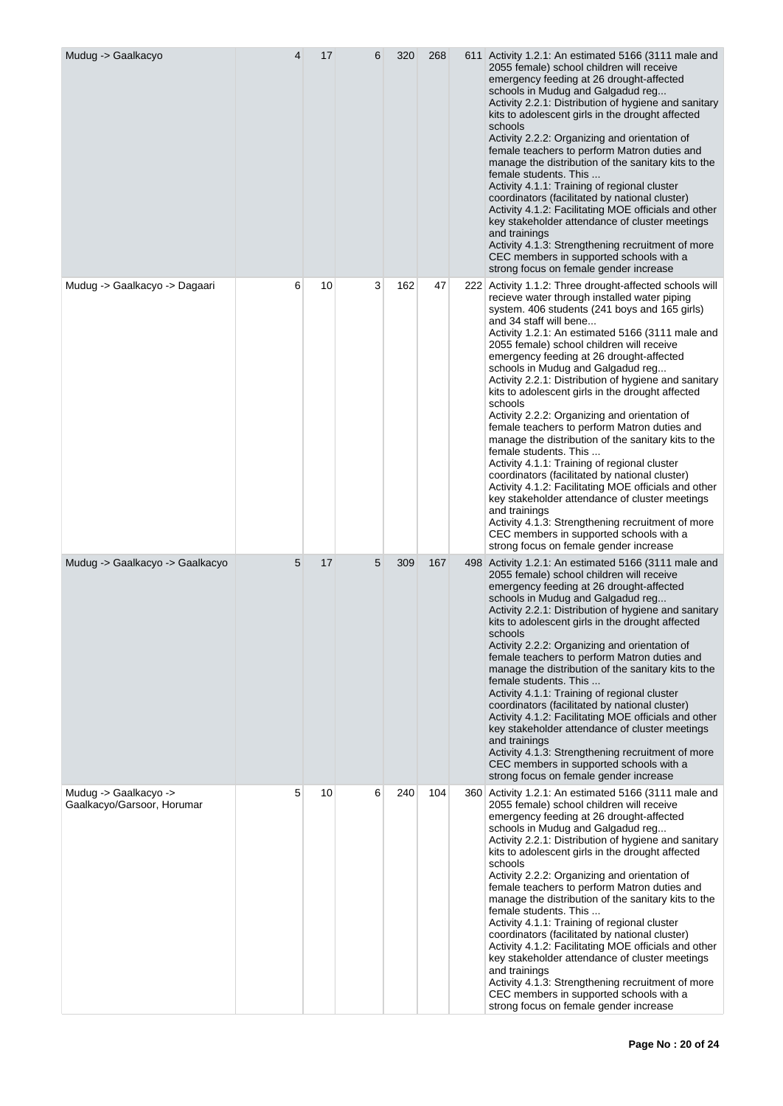| Mudug -> Gaalkacyo                                  | 4 | 17 | 6 | 320 | 268 | 611 Activity 1.2.1: An estimated 5166 (3111 male and<br>2055 female) school children will receive<br>emergency feeding at 26 drought-affected<br>schools in Mudug and Galgadud reg<br>Activity 2.2.1: Distribution of hygiene and sanitary<br>kits to adolescent girls in the drought affected<br>schools<br>Activity 2.2.2: Organizing and orientation of<br>female teachers to perform Matron duties and<br>manage the distribution of the sanitary kits to the<br>female students. This<br>Activity 4.1.1: Training of regional cluster<br>coordinators (facilitated by national cluster)<br>Activity 4.1.2: Facilitating MOE officials and other<br>key stakeholder attendance of cluster meetings<br>and trainings<br>Activity 4.1.3: Strengthening recruitment of more<br>CEC members in supported schools with a<br>strong focus on female gender increase                                                                                                                                                                                   |
|-----------------------------------------------------|---|----|---|-----|-----|-----------------------------------------------------------------------------------------------------------------------------------------------------------------------------------------------------------------------------------------------------------------------------------------------------------------------------------------------------------------------------------------------------------------------------------------------------------------------------------------------------------------------------------------------------------------------------------------------------------------------------------------------------------------------------------------------------------------------------------------------------------------------------------------------------------------------------------------------------------------------------------------------------------------------------------------------------------------------------------------------------------------------------------------------------|
| Mudug -> Gaalkacyo -> Dagaari                       | 6 | 10 | 3 | 162 | 47  | 222 Activity 1.1.2: Three drought-affected schools will<br>recieve water through installed water piping<br>system. 406 students (241 boys and 165 girls)<br>and 34 staff will bene<br>Activity 1.2.1: An estimated 5166 (3111 male and<br>2055 female) school children will receive<br>emergency feeding at 26 drought-affected<br>schools in Mudug and Galgadud reg<br>Activity 2.2.1: Distribution of hygiene and sanitary<br>kits to adolescent girls in the drought affected<br>schools<br>Activity 2.2.2: Organizing and orientation of<br>female teachers to perform Matron duties and<br>manage the distribution of the sanitary kits to the<br>female students. This<br>Activity 4.1.1: Training of regional cluster<br>coordinators (facilitated by national cluster)<br>Activity 4.1.2: Facilitating MOE officials and other<br>key stakeholder attendance of cluster meetings<br>and trainings<br>Activity 4.1.3: Strengthening recruitment of more<br>CEC members in supported schools with a<br>strong focus on female gender increase |
| Mudug -> Gaalkacyo -> Gaalkacyo                     | 5 | 17 | 5 | 309 | 167 | 498 Activity 1.2.1: An estimated 5166 (3111 male and<br>2055 female) school children will receive<br>emergency feeding at 26 drought-affected<br>schools in Mudug and Galgadud reg<br>Activity 2.2.1: Distribution of hygiene and sanitary<br>kits to adolescent girls in the drought affected<br>schools<br>Activity 2.2.2: Organizing and orientation of<br>female teachers to perform Matron duties and<br>manage the distribution of the sanitary kits to the<br>female students. This<br>Activity 4.1.1: Training of regional cluster<br>coordinators (facilitated by national cluster)<br>Activity 4.1.2: Facilitating MOE officials and other<br>key stakeholder attendance of cluster meetings<br>and trainings<br>Activity 4.1.3: Strengthening recruitment of more<br>CEC members in supported schools with a<br>strong focus on female gender increase                                                                                                                                                                                   |
| Mudug -> Gaalkacyo -><br>Gaalkacyo/Garsoor, Horumar | 5 | 10 | 6 | 240 | 104 | 360 Activity 1.2.1: An estimated 5166 (3111 male and<br>2055 female) school children will receive<br>emergency feeding at 26 drought-affected<br>schools in Mudug and Galgadud reg<br>Activity 2.2.1: Distribution of hygiene and sanitary<br>kits to adolescent girls in the drought affected<br>schools<br>Activity 2.2.2: Organizing and orientation of<br>female teachers to perform Matron duties and<br>manage the distribution of the sanitary kits to the<br>female students. This<br>Activity 4.1.1: Training of regional cluster<br>coordinators (facilitated by national cluster)<br>Activity 4.1.2: Facilitating MOE officials and other<br>key stakeholder attendance of cluster meetings<br>and trainings<br>Activity 4.1.3: Strengthening recruitment of more<br>CEC members in supported schools with a<br>strong focus on female gender increase                                                                                                                                                                                   |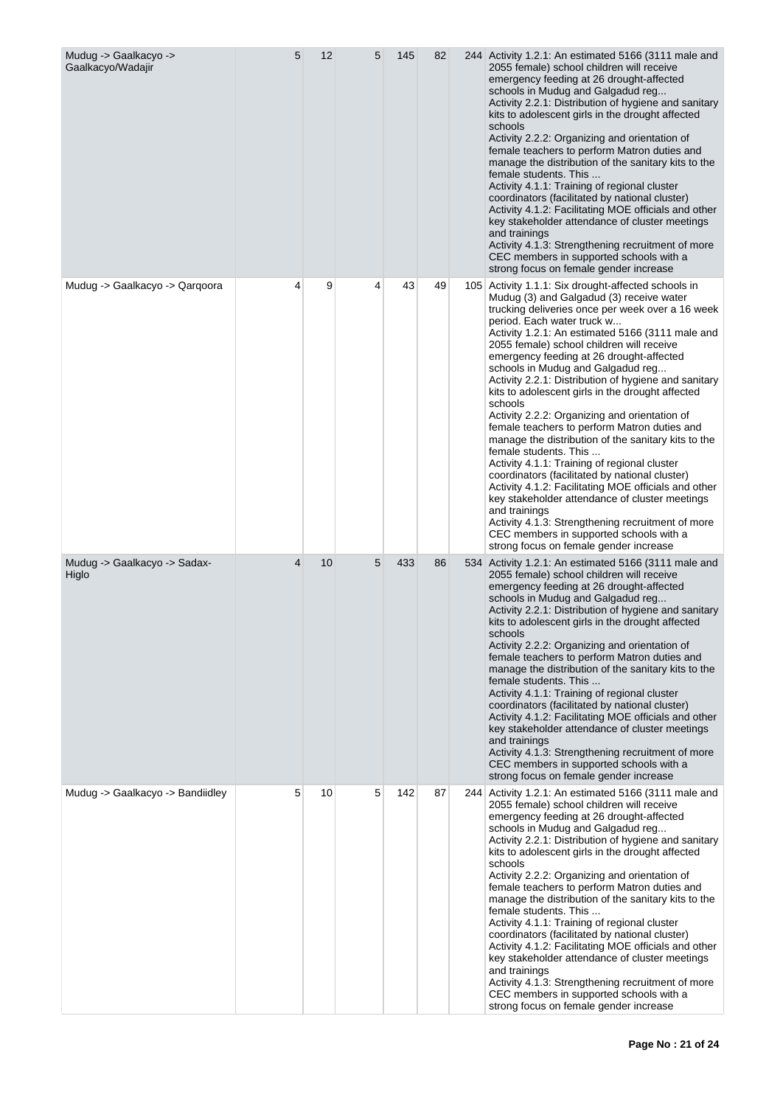| Mudug -> Gaalkacyo -><br>Gaalkacyo/Wadajir | 5 | 12 | 5 | 145 | 82 | 244 Activity 1.2.1: An estimated 5166 (3111 male and<br>2055 female) school children will receive<br>emergency feeding at 26 drought-affected<br>schools in Mudug and Galgadud reg<br>Activity 2.2.1: Distribution of hygiene and sanitary<br>kits to adolescent girls in the drought affected<br>schools<br>Activity 2.2.2: Organizing and orientation of<br>female teachers to perform Matron duties and<br>manage the distribution of the sanitary kits to the<br>female students. This<br>Activity 4.1.1: Training of regional cluster<br>coordinators (facilitated by national cluster)<br>Activity 4.1.2: Facilitating MOE officials and other<br>key stakeholder attendance of cluster meetings<br>and trainings<br>Activity 4.1.3: Strengthening recruitment of more<br>CEC members in supported schools with a<br>strong focus on female gender increase                                                                                                                                                                                  |
|--------------------------------------------|---|----|---|-----|----|----------------------------------------------------------------------------------------------------------------------------------------------------------------------------------------------------------------------------------------------------------------------------------------------------------------------------------------------------------------------------------------------------------------------------------------------------------------------------------------------------------------------------------------------------------------------------------------------------------------------------------------------------------------------------------------------------------------------------------------------------------------------------------------------------------------------------------------------------------------------------------------------------------------------------------------------------------------------------------------------------------------------------------------------------|
| Mudug -> Gaalkacyo -> Qarqoora             | 4 | 9  | 4 | 43  | 49 | 105 Activity 1.1.1: Six drought-affected schools in<br>Mudug (3) and Galgadud (3) receive water<br>trucking deliveries once per week over a 16 week<br>period. Each water truck w<br>Activity 1.2.1: An estimated 5166 (3111 male and<br>2055 female) school children will receive<br>emergency feeding at 26 drought-affected<br>schools in Mudug and Galgadud reg<br>Activity 2.2.1: Distribution of hygiene and sanitary<br>kits to adolescent girls in the drought affected<br>schools<br>Activity 2.2.2: Organizing and orientation of<br>female teachers to perform Matron duties and<br>manage the distribution of the sanitary kits to the<br>female students. This<br>Activity 4.1.1: Training of regional cluster<br>coordinators (facilitated by national cluster)<br>Activity 4.1.2: Facilitating MOE officials and other<br>key stakeholder attendance of cluster meetings<br>and trainings<br>Activity 4.1.3: Strengthening recruitment of more<br>CEC members in supported schools with a<br>strong focus on female gender increase |
| Mudug -> Gaalkacyo -> Sadax-<br>Higlo      | 4 | 10 | 5 | 433 | 86 | 534 Activity 1.2.1: An estimated 5166 (3111 male and<br>2055 female) school children will receive<br>emergency feeding at 26 drought-affected<br>schools in Mudug and Galgadud reg<br>Activity 2.2.1: Distribution of hygiene and sanitary<br>kits to adolescent girls in the drought affected<br>schools<br>Activity 2.2.2: Organizing and orientation of<br>female teachers to perform Matron duties and<br>manage the distribution of the sanitary kits to the<br>female students. This<br>Activity 4.1.1: Training of regional cluster<br>coordinators (facilitated by national cluster)<br>Activity 4.1.2: Facilitating MOE officials and other<br>key stakeholder attendance of cluster meetings<br>and trainings<br>Activity 4.1.3: Strengthening recruitment of more<br>CEC members in supported schools with a<br>strong focus on female gender increase                                                                                                                                                                                  |
| Mudug -> Gaalkacyo -> Bandiidley           | 5 | 10 | 5 | 142 | 87 | 244 Activity 1.2.1: An estimated 5166 (3111 male and<br>2055 female) school children will receive<br>emergency feeding at 26 drought-affected<br>schools in Mudug and Galgadud reg<br>Activity 2.2.1: Distribution of hygiene and sanitary<br>kits to adolescent girls in the drought affected<br>schools<br>Activity 2.2.2: Organizing and orientation of<br>female teachers to perform Matron duties and<br>manage the distribution of the sanitary kits to the<br>female students. This<br>Activity 4.1.1: Training of regional cluster<br>coordinators (facilitated by national cluster)<br>Activity 4.1.2: Facilitating MOE officials and other<br>key stakeholder attendance of cluster meetings<br>and trainings<br>Activity 4.1.3: Strengthening recruitment of more<br>CEC members in supported schools with a<br>strong focus on female gender increase                                                                                                                                                                                  |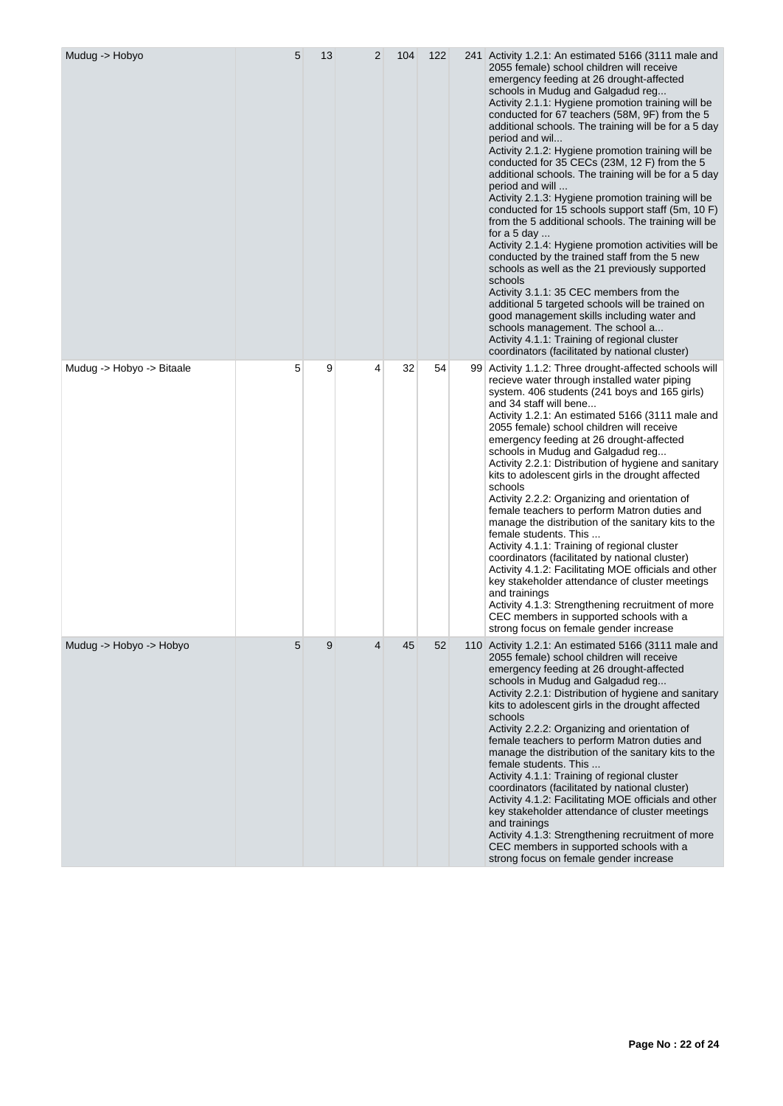| Mudug -> Hobyo            | 5 | 13 | $\overline{2}$ | 104 | 122 | 241 Activity 1.2.1: An estimated 5166 (3111 male and<br>2055 female) school children will receive<br>emergency feeding at 26 drought-affected<br>schools in Mudug and Galgadud reg<br>Activity 2.1.1: Hygiene promotion training will be<br>conducted for 67 teachers (58M, 9F) from the 5<br>additional schools. The training will be for a 5 day<br>period and wil<br>Activity 2.1.2: Hygiene promotion training will be<br>conducted for 35 CECs (23M, 12 F) from the 5<br>additional schools. The training will be for a 5 day<br>period and will<br>Activity 2.1.3: Hygiene promotion training will be<br>conducted for 15 schools support staff (5m, 10 F)<br>from the 5 additional schools. The training will be<br>for a 5 day<br>Activity 2.1.4: Hygiene promotion activities will be<br>conducted by the trained staff from the 5 new<br>schools as well as the 21 previously supported<br>schools<br>Activity 3.1.1: 35 CEC members from the<br>additional 5 targeted schools will be trained on<br>good management skills including water and<br>schools management. The school a<br>Activity 4.1.1: Training of regional cluster<br>coordinators (facilitated by national cluster) |
|---------------------------|---|----|----------------|-----|-----|-------------------------------------------------------------------------------------------------------------------------------------------------------------------------------------------------------------------------------------------------------------------------------------------------------------------------------------------------------------------------------------------------------------------------------------------------------------------------------------------------------------------------------------------------------------------------------------------------------------------------------------------------------------------------------------------------------------------------------------------------------------------------------------------------------------------------------------------------------------------------------------------------------------------------------------------------------------------------------------------------------------------------------------------------------------------------------------------------------------------------------------------------------------------------------------------------|
| Mudug -> Hobyo -> Bitaale | 5 | 9  | 4              | 32  | 54  | 99 Activity 1.1.2: Three drought-affected schools will<br>recieve water through installed water piping<br>system. 406 students (241 boys and 165 girls)<br>and 34 staff will bene<br>Activity 1.2.1: An estimated 5166 (3111 male and<br>2055 female) school children will receive<br>emergency feeding at 26 drought-affected<br>schools in Mudug and Galgadud reg<br>Activity 2.2.1: Distribution of hygiene and sanitary<br>kits to adolescent girls in the drought affected<br>schools<br>Activity 2.2.2: Organizing and orientation of<br>female teachers to perform Matron duties and<br>manage the distribution of the sanitary kits to the<br>female students. This<br>Activity 4.1.1: Training of regional cluster<br>coordinators (facilitated by national cluster)<br>Activity 4.1.2: Facilitating MOE officials and other<br>key stakeholder attendance of cluster meetings<br>and trainings<br>Activity 4.1.3: Strengthening recruitment of more<br>CEC members in supported schools with a<br>strong focus on female gender increase                                                                                                                                              |
| Mudug -> Hobyo -> Hobyo   | 5 | 9  | 4              | 45  | 52  | 110 Activity 1.2.1: An estimated 5166 (3111 male and<br>2055 female) school children will receive<br>emergency feeding at 26 drought-affected<br>schools in Mudug and Galgadud reg<br>Activity 2.2.1: Distribution of hygiene and sanitary<br>kits to adolescent girls in the drought affected<br>schools<br>Activity 2.2.2: Organizing and orientation of<br>female teachers to perform Matron duties and<br>manage the distribution of the sanitary kits to the<br>female students. This<br>Activity 4.1.1: Training of regional cluster<br>coordinators (facilitated by national cluster)<br>Activity 4.1.2: Facilitating MOE officials and other<br>key stakeholder attendance of cluster meetings<br>and trainings<br>Activity 4.1.3: Strengthening recruitment of more<br>CEC members in supported schools with a<br>strong focus on female gender increase                                                                                                                                                                                                                                                                                                                               |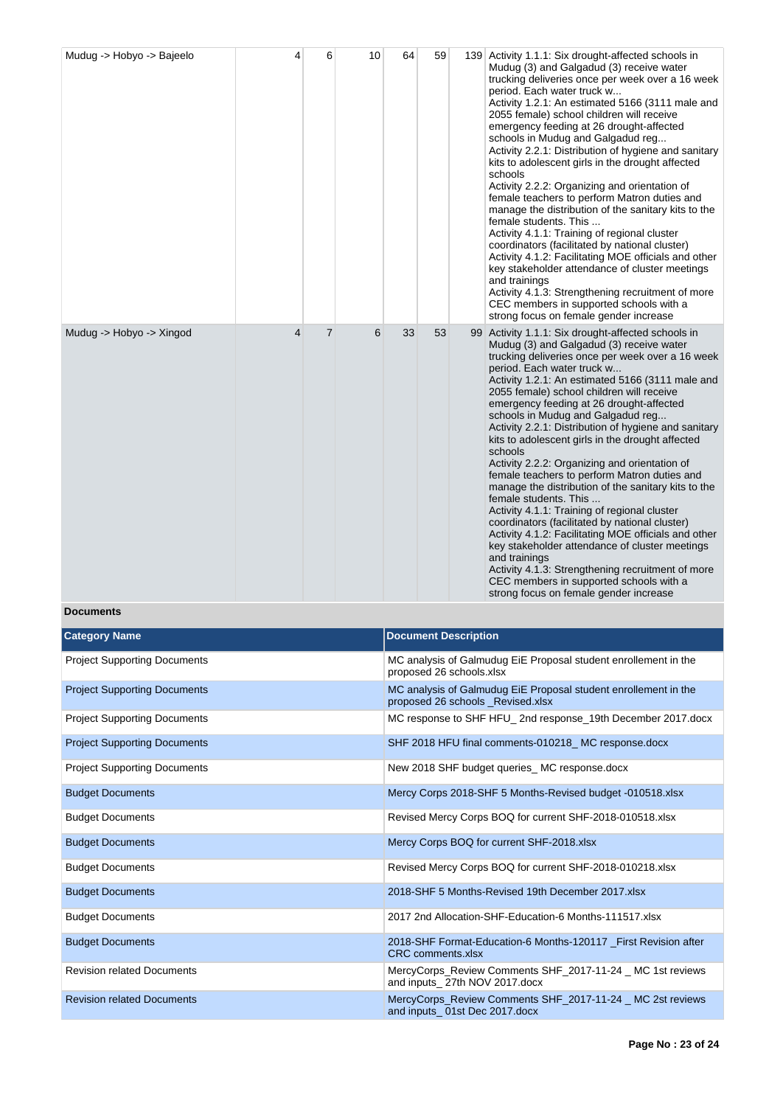| Mudug -> Hobyo -> Bajeelo | 4              | 6              | 10 | 64 | 59 | 139 Activity 1.1.1: Six drought-affected schools in<br>Mudug (3) and Galgadud (3) receive water<br>trucking deliveries once per week over a 16 week<br>period. Each water truck w<br>Activity 1.2.1: An estimated 5166 (3111 male and<br>2055 female) school children will receive<br>emergency feeding at 26 drought-affected<br>schools in Mudug and Galgadud reg<br>Activity 2.2.1: Distribution of hygiene and sanitary<br>kits to adolescent girls in the drought affected<br>schools<br>Activity 2.2.2: Organizing and orientation of<br>female teachers to perform Matron duties and<br>manage the distribution of the sanitary kits to the<br>female students. This<br>Activity 4.1.1: Training of regional cluster<br>coordinators (facilitated by national cluster)<br>Activity 4.1.2: Facilitating MOE officials and other<br>key stakeholder attendance of cluster meetings<br>and trainings<br>Activity 4.1.3: Strengthening recruitment of more<br>CEC members in supported schools with a<br>strong focus on female gender increase |
|---------------------------|----------------|----------------|----|----|----|----------------------------------------------------------------------------------------------------------------------------------------------------------------------------------------------------------------------------------------------------------------------------------------------------------------------------------------------------------------------------------------------------------------------------------------------------------------------------------------------------------------------------------------------------------------------------------------------------------------------------------------------------------------------------------------------------------------------------------------------------------------------------------------------------------------------------------------------------------------------------------------------------------------------------------------------------------------------------------------------------------------------------------------------------|
| Mudug -> Hobyo -> Xingod  | $\overline{4}$ | $\overline{7}$ | 6  | 33 | 53 | 99 Activity 1.1.1: Six drought-affected schools in<br>Mudug (3) and Galgadud (3) receive water<br>trucking deliveries once per week over a 16 week<br>period. Each water truck w<br>Activity 1.2.1: An estimated 5166 (3111 male and<br>2055 female) school children will receive<br>emergency feeding at 26 drought-affected<br>schools in Mudug and Galgadud reg<br>Activity 2.2.1: Distribution of hygiene and sanitary<br>kits to adolescent girls in the drought affected<br>schools<br>Activity 2.2.2: Organizing and orientation of<br>female teachers to perform Matron duties and<br>manage the distribution of the sanitary kits to the<br>female students. This<br>Activity 4.1.1: Training of regional cluster<br>coordinators (facilitated by national cluster)<br>Activity 4.1.2: Facilitating MOE officials and other<br>key stakeholder attendance of cluster meetings<br>and trainings<br>Activity 4.1.3: Strengthening recruitment of more<br>CEC members in supported schools with a<br>strong focus on female gender increase  |

# **Documents**

| <b>Category Name</b>                | <b>Document Description</b>                                                                         |
|-------------------------------------|-----------------------------------------------------------------------------------------------------|
| <b>Project Supporting Documents</b> | MC analysis of Galmudug EiE Proposal student enrollement in the<br>proposed 26 schools.xlsx         |
| <b>Project Supporting Documents</b> | MC analysis of Galmudug EiE Proposal student enrollement in the<br>proposed 26 schools Revised.xlsx |
| <b>Project Supporting Documents</b> | MC response to SHF HFU 2nd response 19th December 2017.docx                                         |
| <b>Project Supporting Documents</b> | SHF 2018 HFU final comments-010218_MC response.docx                                                 |
| <b>Project Supporting Documents</b> | New 2018 SHF budget queries MC response.docx                                                        |
| <b>Budget Documents</b>             | Mercy Corps 2018-SHF 5 Months-Revised budget -010518.xlsx                                           |
| <b>Budget Documents</b>             | Revised Mercy Corps BOQ for current SHF-2018-010518.xlsx                                            |
| <b>Budget Documents</b>             | Mercy Corps BOQ for current SHF-2018.xlsx                                                           |
| <b>Budget Documents</b>             | Revised Mercy Corps BOQ for current SHF-2018-010218.xlsx                                            |
| <b>Budget Documents</b>             | 2018-SHF 5 Months-Revised 19th December 2017.xlsx                                                   |
| <b>Budget Documents</b>             | 2017 2nd Allocation-SHF-Education-6 Months-111517.xlsx                                              |
| <b>Budget Documents</b>             | 2018-SHF Format-Education-6 Months-120117 _First Revision after<br><b>CRC</b> comments.xlsx         |
| <b>Revision related Documents</b>   | MercyCorps Review Comments SHF 2017-11-24 MC 1st reviews<br>and inputs 27th NOV 2017.docx           |
| <b>Revision related Documents</b>   | MercyCorps Review Comments SHF 2017-11-24 MC 2st reviews<br>and inputs 01st Dec 2017.docx           |